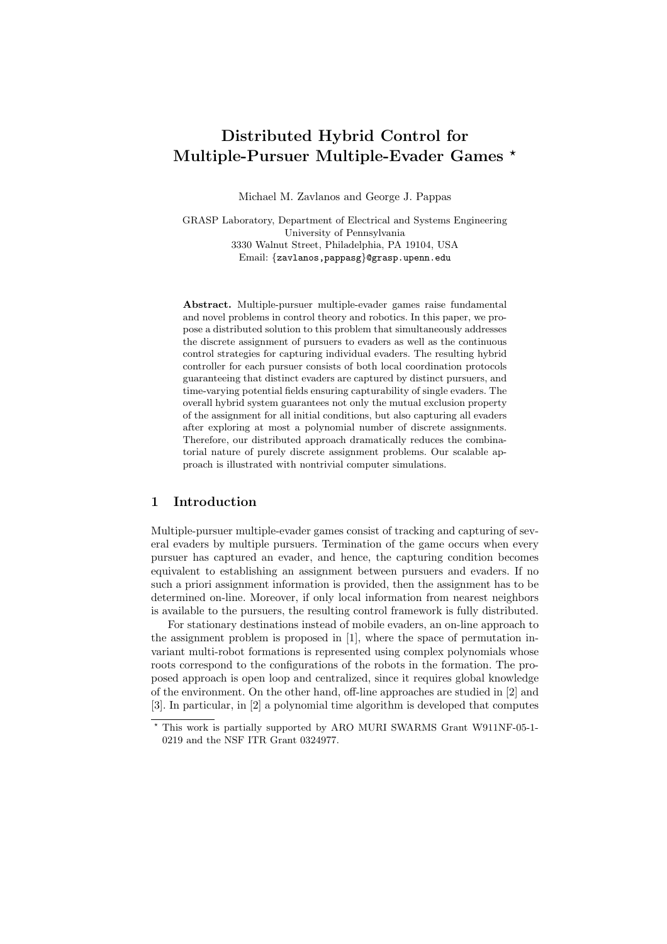# Distributed Hybrid Control for Multiple-Pursuer Multiple-Evader Games \*

Michael M. Zavlanos and George J. Pappas

GRASP Laboratory, Department of Electrical and Systems Engineering University of Pennsylvania 3330 Walnut Street, Philadelphia, PA 19104, USA Email: {zavlanos,pappasg}@grasp.upenn.edu

Abstract. Multiple-pursuer multiple-evader games raise fundamental and novel problems in control theory and robotics. In this paper, we propose a distributed solution to this problem that simultaneously addresses the discrete assignment of pursuers to evaders as well as the continuous control strategies for capturing individual evaders. The resulting hybrid controller for each pursuer consists of both local coordination protocols guaranteeing that distinct evaders are captured by distinct pursuers, and time-varying potential fields ensuring capturability of single evaders. The overall hybrid system guarantees not only the mutual exclusion property of the assignment for all initial conditions, but also capturing all evaders after exploring at most a polynomial number of discrete assignments. Therefore, our distributed approach dramatically reduces the combinatorial nature of purely discrete assignment problems. Our scalable approach is illustrated with nontrivial computer simulations.

### 1 Introduction

Multiple-pursuer multiple-evader games consist of tracking and capturing of several evaders by multiple pursuers. Termination of the game occurs when every pursuer has captured an evader, and hence, the capturing condition becomes equivalent to establishing an assignment between pursuers and evaders. If no such a priori assignment information is provided, then the assignment has to be determined on-line. Moreover, if only local information from nearest neighbors is available to the pursuers, the resulting control framework is fully distributed.

For stationary destinations instead of mobile evaders, an on-line approach to the assignment problem is proposed in [1], where the space of permutation invariant multi-robot formations is represented using complex polynomials whose roots correspond to the configurations of the robots in the formation. The proposed approach is open loop and centralized, since it requires global knowledge of the environment. On the other hand, off-line approaches are studied in [2] and [3]. In particular, in [2] a polynomial time algorithm is developed that computes

<sup>?</sup> This work is partially supported by ARO MURI SWARMS Grant W911NF-05-1- 0219 and the NSF ITR Grant 0324977.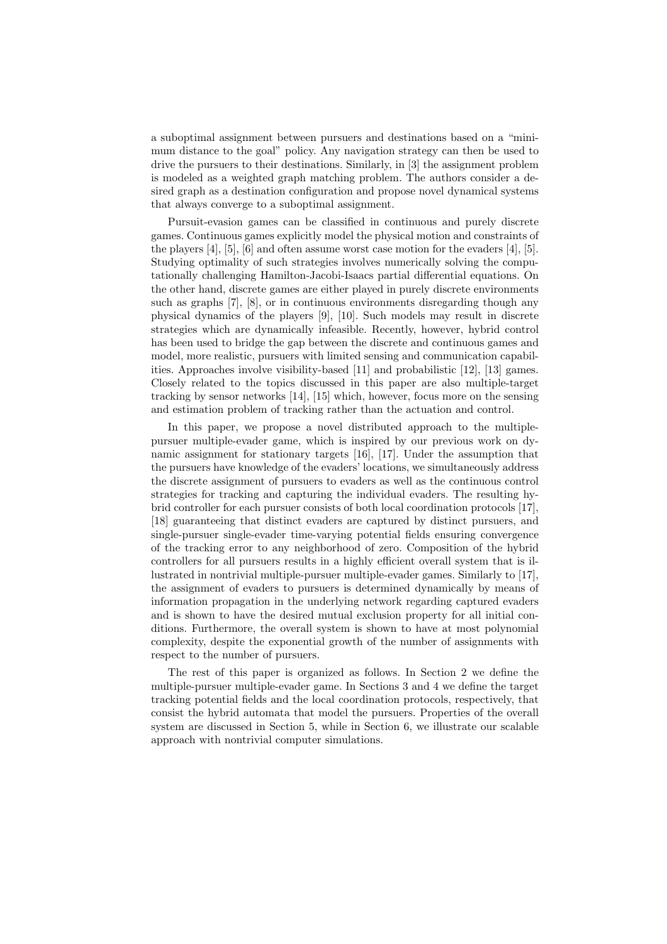a suboptimal assignment between pursuers and destinations based on a "minimum distance to the goal" policy. Any navigation strategy can then be used to drive the pursuers to their destinations. Similarly, in [3] the assignment problem is modeled as a weighted graph matching problem. The authors consider a desired graph as a destination configuration and propose novel dynamical systems that always converge to a suboptimal assignment.

Pursuit-evasion games can be classified in continuous and purely discrete games. Continuous games explicitly model the physical motion and constraints of the players  $[4]$ ,  $[5]$ ,  $[6]$  and often assume worst case motion for the evaders  $[4]$ ,  $[5]$ . Studying optimality of such strategies involves numerically solving the computationally challenging Hamilton-Jacobi-Isaacs partial differential equations. On the other hand, discrete games are either played in purely discrete environments such as graphs [7], [8], or in continuous environments disregarding though any physical dynamics of the players [9], [10]. Such models may result in discrete strategies which are dynamically infeasible. Recently, however, hybrid control has been used to bridge the gap between the discrete and continuous games and model, more realistic, pursuers with limited sensing and communication capabilities. Approaches involve visibility-based [11] and probabilistic [12], [13] games. Closely related to the topics discussed in this paper are also multiple-target tracking by sensor networks [14], [15] which, however, focus more on the sensing and estimation problem of tracking rather than the actuation and control.

In this paper, we propose a novel distributed approach to the multiplepursuer multiple-evader game, which is inspired by our previous work on dynamic assignment for stationary targets [16], [17]. Under the assumption that the pursuers have knowledge of the evaders' locations, we simultaneously address the discrete assignment of pursuers to evaders as well as the continuous control strategies for tracking and capturing the individual evaders. The resulting hybrid controller for each pursuer consists of both local coordination protocols [17], [18] guaranteeing that distinct evaders are captured by distinct pursuers, and single-pursuer single-evader time-varying potential fields ensuring convergence of the tracking error to any neighborhood of zero. Composition of the hybrid controllers for all pursuers results in a highly efficient overall system that is illustrated in nontrivial multiple-pursuer multiple-evader games. Similarly to [17], the assignment of evaders to pursuers is determined dynamically by means of information propagation in the underlying network regarding captured evaders and is shown to have the desired mutual exclusion property for all initial conditions. Furthermore, the overall system is shown to have at most polynomial complexity, despite the exponential growth of the number of assignments with respect to the number of pursuers.

The rest of this paper is organized as follows. In Section 2 we define the multiple-pursuer multiple-evader game. In Sections 3 and 4 we define the target tracking potential fields and the local coordination protocols, respectively, that consist the hybrid automata that model the pursuers. Properties of the overall system are discussed in Section 5, while in Section 6, we illustrate our scalable approach with nontrivial computer simulations.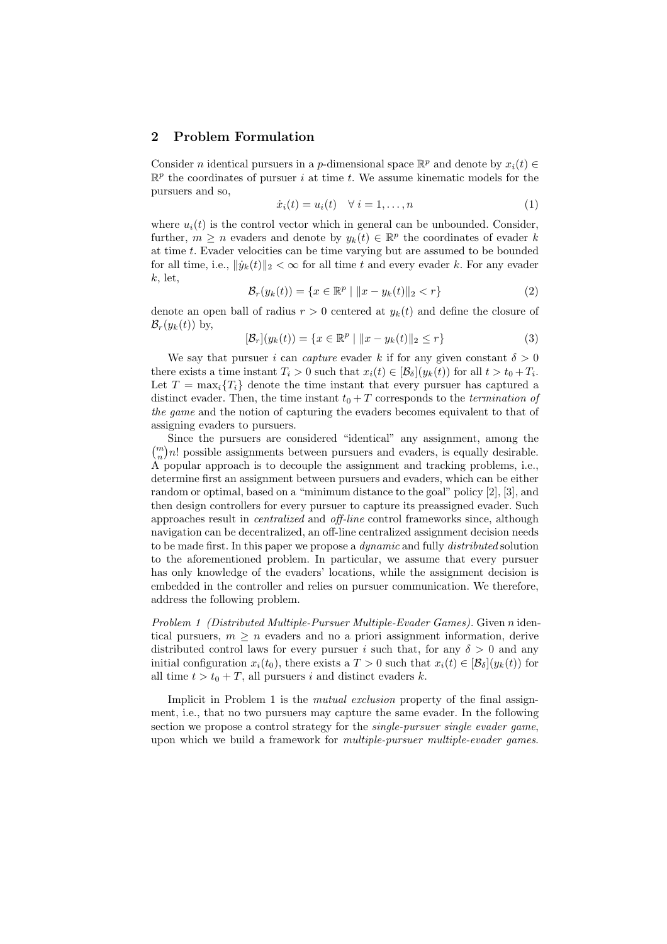## 2 Problem Formulation

Consider *n* identical pursuers in a *p*-dimensional space  $\mathbb{R}^p$  and denote by  $x_i(t) \in$  $\mathbb{R}^p$  the coordinates of pursuer i at time t. We assume kinematic models for the pursuers and so,

$$
\dot{x}_i(t) = u_i(t) \quad \forall \ i = 1, \dots, n \tag{1}
$$

where  $u_i(t)$  is the control vector which in general can be unbounded. Consider, further,  $m \geq n$  evaders and denote by  $y_k(t) \in \mathbb{R}^p$  the coordinates of evader k at time t. Evader velocities can be time varying but are assumed to be bounded for all time, i.e.,  $\|\dot{y}_k(t)\|_2 < \infty$  for all time t and every evader k. For any evader  $k,$  let,

$$
\mathcal{B}_r(y_k(t)) = \{ x \in \mathbb{R}^p \mid ||x - y_k(t)||_2 < r \}
$$
 (2)

denote an open ball of radius  $r > 0$  centered at  $y_k(t)$  and define the closure of  $\mathcal{B}_r(y_k(t))$  by,

$$
[\mathcal{B}_r](y_k(t)) = \{ x \in \mathbb{R}^p \mid ||x - y_k(t)||_2 \le r \}
$$
 (3)

We say that pursuer i can capture evader k if for any given constant  $\delta > 0$ there exists a time instant  $T_i > 0$  such that  $x_i(t) \in [\mathcal{B}_{\delta}](y_k(t))$  for all  $t > t_0 + T_i$ . Let  $T = \max_i \{T_i\}$  denote the time instant that every pursuer has captured a distinct evader. Then, the time instant  $t_0 + T$  corresponds to the *termination of* the game and the notion of capturing the evaders becomes equivalent to that of assigning evaders to pursuers.

Since the pursuers are considered "identical" any assignment, among the  $\binom{m}{n}$ ¢ n! possible assignments between pursuers and evaders, is equally desirable. A popular approach is to decouple the assignment and tracking problems, i.e., determine first an assignment between pursuers and evaders, which can be either random or optimal, based on a "minimum distance to the goal" policy [2], [3], and then design controllers for every pursuer to capture its preassigned evader. Such approaches result in centralized and off-line control frameworks since, although navigation can be decentralized, an off-line centralized assignment decision needs to be made first. In this paper we propose a *dynamic* and fully *distributed* solution to the aforementioned problem. In particular, we assume that every pursuer has only knowledge of the evaders' locations, while the assignment decision is embedded in the controller and relies on pursuer communication. We therefore, address the following problem.

Problem 1 (Distributed Multiple-Pursuer Multiple-Evader Games). Given n identical pursuers,  $m \geq n$  evaders and no a priori assignment information, derive distributed control laws for every pursuer i such that, for any  $\delta > 0$  and any initial configuration  $x_i(t_0)$ , there exists a  $T > 0$  such that  $x_i(t) \in [\mathcal{B}_\delta](y_k(t))$  for all time  $t > t_0 + T$ , all pursuers i and distinct evaders k.

Implicit in Problem 1 is the *mutual exclusion* property of the final assignment, i.e., that no two pursuers may capture the same evader. In the following section we propose a control strategy for the *single-pursuer single evader game*, upon which we build a framework for *multiple-pursuer multiple-evader games*.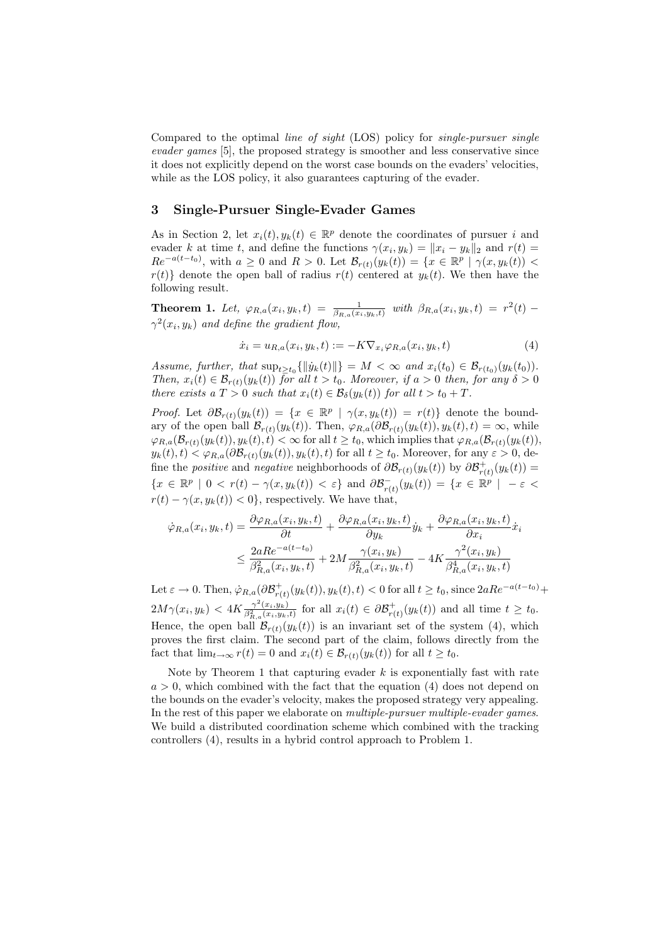Compared to the optimal line of sight (LOS) policy for single-pursuer single evader games [5], the proposed strategy is smoother and less conservative since it does not explicitly depend on the worst case bounds on the evaders' velocities, while as the LOS policy, it also guarantees capturing of the evader.

## 3 Single-Pursuer Single-Evader Games

As in Section 2, let  $x_i(t), y_k(t) \in \mathbb{R}^p$  denote the coordinates of pursuer i and evader k at time t, and define the functions  $\gamma(x_i, y_k) = ||x_i - y_k||_2$  and  $r(t) =$  $Re^{-a(t-t_0)}$ , with  $a \geq 0$  and  $R > 0$ . Let  $\mathcal{B}_{r(t)}(y_k(t)) = \{x \in \mathbb{R}^p \mid \gamma(x, y_k(t)) <$  $r(t)$  denote the open ball of radius  $r(t)$  centered at  $y_k(t)$ . We then have the following result.

**Theorem 1.** Let,  $\varphi_{R,a}(x_i, y_k, t) = \frac{1}{\beta_{R,a}(x_i, y_k, t)}$  with  $\beta_{R,a}(x_i, y_k, t) = r^2(t)$  $\gamma^2(x_i, y_k)$  and define the gradient flow,

$$
\dot{x}_i = u_{R,a}(x_i, y_k, t) := -K \nabla_{x_i} \varphi_{R,a}(x_i, y_k, t)
$$
\n
$$
\tag{4}
$$

Assume, further, that  $\sup_{t\geq t_0} \{\|\dot{y}_k(t)\|\} = M < \infty$  and  $x_i(t_0) \in \mathcal{B}_{r(t_0)}(y_k(t_0)).$ Then,  $x_i(t) \in \mathcal{B}_{r(t)}(y_k(t))$  for all  $t > t_0$ . Moreover, if  $a > 0$  then, for any  $\delta > 0$ there exists a  $T > 0$  such that  $x_i(t) \in \mathcal{B}_{\delta}(y_k(t))$  for all  $t > t_0 + T$ .

*Proof.* Let  $\partial \mathcal{B}_{r(t)}(y_k(t)) = \{x \in \mathbb{R}^p \mid \gamma(x, y_k(t)) = r(t)\}\$  denote the boundary of the open ball  $\mathcal{B}_{r(t)}(y_k(t))$ . Then,  $\varphi_{R,a}(\partial \mathcal{B}_{r(t)}(y_k(t)), y_k(t), t) = \infty$ , while  $\varphi_{R,a}(\mathcal{B}_{r(t)}(y_k(t)), y_k(t), t) < \infty$  for all  $t \ge t_0$ , which implies that  $\varphi_{R,a}(\mathcal{B}_{r(t)}(y_k(t)),$  $y_k(t), t) < \varphi_{R,a}(\partial \mathcal{B}_{r(t)}(y_k(t)), y_k(t), t)$  for all  $t \ge t_0$ . Moreover, for any  $\varepsilon > 0$ , define the *positive* and *negative* neighborhoods of  $\partial \mathcal{B}_{r(t)}(y_k(t))$  by  $\partial \mathcal{B}_{r(t)}^+(y_k(t))$  ${x \in \mathbb{R}^p \mid 0 < r(t) - \gamma(x, y_k(t)) < \varepsilon}$  and  $\partial \mathcal{B}_{r(t)}^-(y_k(t)) = {x \in \mathbb{R}^p \mid -\varepsilon$  $r(t) - \gamma(x, y_k(t)) < 0$ , respectively. We have that,

$$
\dot{\varphi}_{R,a}(x_i, y_k, t) = \frac{\partial \varphi_{R,a}(x_i, y_k, t)}{\partial t} + \frac{\partial \varphi_{R,a}(x_i, y_k, t)}{\partial y_k} \dot{y}_k + \frac{\partial \varphi_{R,a}(x_i, y_k, t)}{\partial x_i} \dot{x}_i
$$
  

$$
\leq \frac{2aRe^{-a(t-t_0)}}{\beta_{R,a}^2(x_i, y_k, t)} + 2M \frac{\gamma(x_i, y_k)}{\beta_{R,a}^2(x_i, y_k, t)} - 4K \frac{\gamma^2(x_i, y_k)}{\beta_{R,a}^4(x_i, y_k, t)}
$$

Let  $\varepsilon \to 0$ . Then,  $\dot{\varphi}_{R,a}(\partial \mathcal{B}_{r(t)}^+(y_k(t)), y_k(t), t) < 0$  for all  $t \ge t_0$ , since  $2aRe^{-a(t-t_0)} +$  $2M\gamma(x_i, y_k) < 4K \frac{\gamma^2(x_i, y_k)}{\beta_{R,a}^2(x_i, y_k, t)}$  for all  $x_i(t) \in \partial \mathcal{B}_{r(t)}^+(y_k(t))$  and all time  $t \ge t_0$ . Hence, the open ball  $\mathcal{B}_{r(t)}(y_k(t))$  is an invariant set of the system (4), which proves the first claim. The second part of the claim, follows directly from the fact that  $\lim_{t\to\infty} r(t) = 0$  and  $x_i(t) \in \mathcal{B}_{r(t)}(y_k(t))$  for all  $t \geq t_0$ .

Note by Theorem 1 that capturing evader  $k$  is exponentially fast with rate  $a > 0$ , which combined with the fact that the equation (4) does not depend on the bounds on the evader's velocity, makes the proposed strategy very appealing. In the rest of this paper we elaborate on multiple-pursuer multiple-evader games. We build a distributed coordination scheme which combined with the tracking controllers (4), results in a hybrid control approach to Problem 1.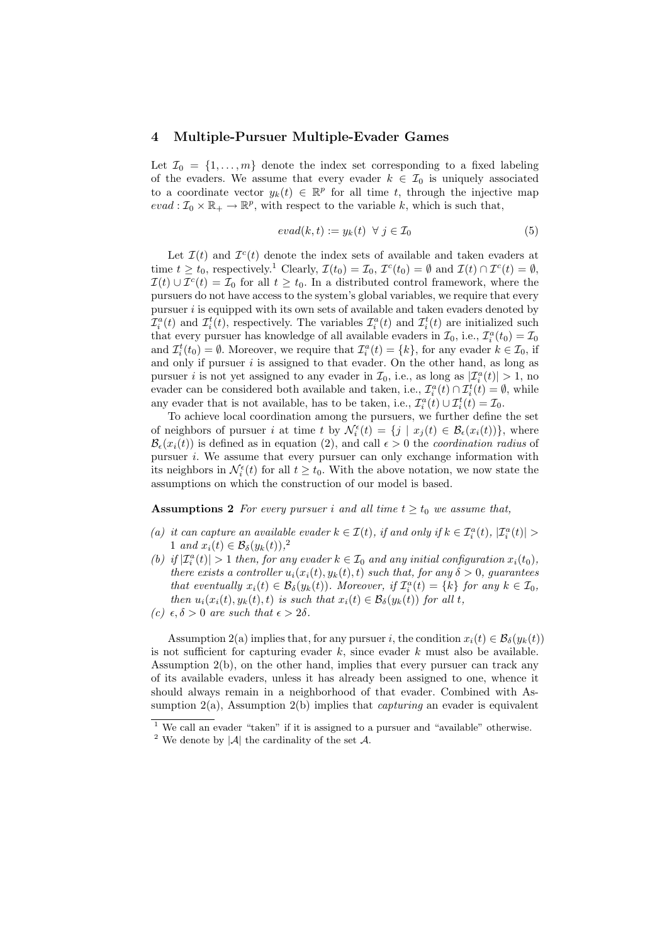#### 4 Multiple-Pursuer Multiple-Evader Games

Let  $\mathcal{I}_0 = \{1, \ldots, m\}$  denote the index set corresponding to a fixed labeling of the evaders. We assume that every evader  $k \in \mathcal{I}_0$  is uniquely associated to a coordinate vector  $y_k(t) \in \mathbb{R}^p$  for all time t, through the injective map  $eval: \mathcal{I}_0 \times \mathbb{R}_+ \to \mathbb{R}^p$ , with respect to the variable k, which is such that,

$$
eval(k, t) := y_k(t) \ \forall \ j \in \mathcal{I}_0 \tag{5}
$$

Let  $\mathcal{I}(t)$  and  $\mathcal{I}^c(t)$  denote the index sets of available and taken evaders at time  $t \ge t_0$ , respectively.<sup>1</sup> Clearly,  $\mathcal{I}(t_0) = \mathcal{I}_0$ ,  $\mathcal{I}^c(t_0) = \emptyset$  and  $\mathcal{I}(t) \cap \mathcal{I}^c(t) = \emptyset$ ,  $\mathcal{I}(t) \cup \mathcal{I}^{c}(t) = \mathcal{I}_{0}$  for all  $t \geq t_{0}$ . In a distributed control framework, where the pursuers do not have access to the system's global variables, we require that every pursuer  $i$  is equipped with its own sets of available and taken evaders denoted by  $\mathcal{I}_i^a(t)$  and  $\mathcal{I}_i^t(t)$ , respectively. The variables  $\mathcal{I}_i^a(t)$  and  $\mathcal{I}_i^t(t)$  are initialized such that every pursuer has knowledge of all available evaders in  $\mathcal{I}_0$ , i.e.,  $\mathcal{I}_i^a(t_0) = \mathcal{I}_0$ and  $\mathcal{I}_i^t(t_0) = \emptyset$ . Moreover, we require that  $\mathcal{I}_i^a(t) = \{k\}$ , for any evader  $k \in \mathcal{I}_0$ , if and only if pursuer  $i$  is assigned to that evader. On the other hand, as long as pursuer *i* is not yet assigned to any evader in  $\mathcal{I}_0$ , i.e., as long as  $|\mathcal{I}_i^a(t)| > 1$ , no evader can be considered both available and taken, i.e.,  $\mathcal{I}_i^a(t) \cap \mathcal{I}_i^t(t) = \emptyset$ , while any evader that is not available, has to be taken, i.e.,  $\mathcal{I}_i^a(t) \cup \mathcal{I}_i^t(t) = \mathcal{I}_0$ .

To achieve local coordination among the pursuers, we further define the set of neighbors of pursuer i at time t by  $\mathcal{N}_{i}^{\epsilon}(t) = \{j \mid x_{j}(t) \in \mathcal{B}_{\epsilon}(x_{i}(t))\},\$  where  $\mathcal{B}_{\epsilon}(x_i(t))$  is defined as in equation (2), and call  $\epsilon > 0$  the *coordination radius* of pursuer  $i$ . We assume that every pursuer can only exchange information with its neighbors in  $\mathcal{N}_{i}^{\epsilon}(t)$  for all  $t \geq t_0$ . With the above notation, we now state the assumptions on which the construction of our model is based.

**Assumptions 2** For every pursuer i and all time  $t \geq t_0$  we assume that,

- (a) it can capture an available evader  $k \in \mathcal{I}(t)$ , if and only if  $k \in \mathcal{I}_i^a(t)$ ,  $|\mathcal{I}_i^a(t)| >$ 1 and  $x_i(t) \in \mathcal{B}_{\delta}(y_k(t)),^2$
- (b) if  $|\mathcal{I}_i^a(t)| > 1$  then, for any evader  $k \in \mathcal{I}_0$  and any initial configuration  $x_i(t_0)$ , there exists a controller  $u_i(x_i(t), y_k(t), t)$  such that, for any  $\delta > 0$ , guarantees that eventually  $x_i(t) \in \mathcal{B}_{\delta}(y_k(t))$ . Moreover, if  $\mathcal{I}_i^a(t) = \{k\}$  for any  $k \in \mathcal{I}_0$ , then  $u_i(x_i(t), y_k(t), t)$  is such that  $x_i(t) \in \mathcal{B}_{\delta}(y_k(t))$  for all t,

Assumption 2(a) implies that, for any pursuer i, the condition  $x_i(t) \in \mathcal{B}_\delta(y_k(t))$ is not sufficient for capturing evader  $k$ , since evader  $k$  must also be available. Assumption 2(b), on the other hand, implies that every pursuer can track any of its available evaders, unless it has already been assigned to one, whence it should always remain in a neighborhood of that evader. Combined with Assumption  $2(a)$ , Assumption  $2(b)$  implies that *capturing* an evader is equivalent

<sup>(</sup>c)  $\epsilon, \delta > 0$  are such that  $\epsilon > 2\delta$ .

 $1$  We call an evader "taken" if it is assigned to a pursuer and "available" otherwise.

<sup>&</sup>lt;sup>2</sup> We denote by  $|\mathcal{A}|$  the cardinality of the set  $\mathcal{A}$ .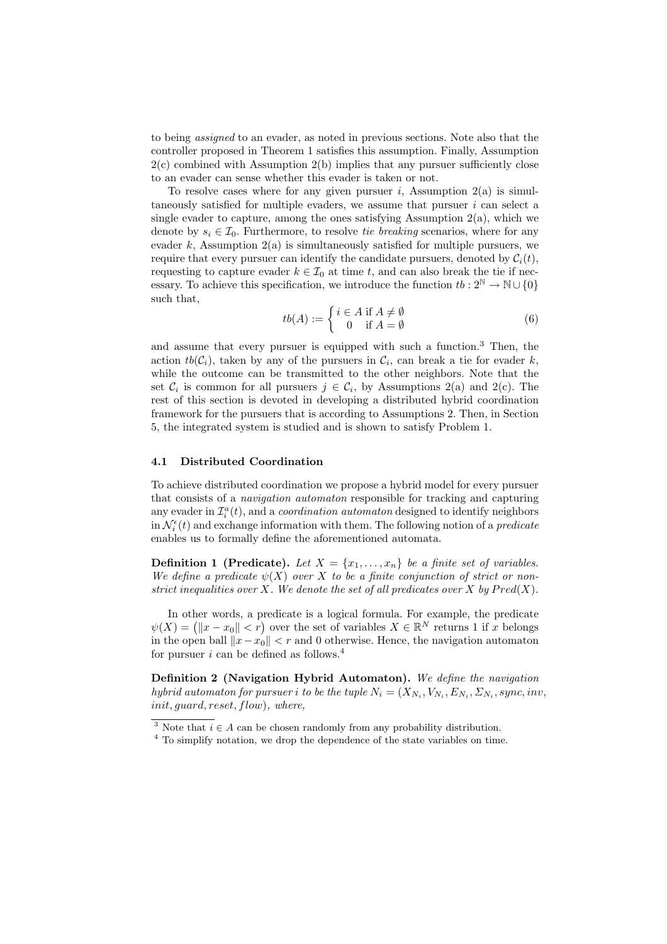to being assigned to an evader, as noted in previous sections. Note also that the controller proposed in Theorem 1 satisfies this assumption. Finally, Assumption  $2(c)$  combined with Assumption  $2(b)$  implies that any pursuer sufficiently close to an evader can sense whether this evader is taken or not.

To resolve cases where for any given pursuer i, Assumption  $2(a)$  is simultaneously satisfied for multiple evaders, we assume that pursuer  $i$  can select a single evader to capture, among the ones satisfying Assumption  $2(a)$ , which we denote by  $s_i \in \mathcal{I}_0$ . Furthermore, to resolve tie breaking scenarios, where for any evader k, Assumption  $2(a)$  is simultaneously satisfied for multiple pursuers, we require that every pursuer can identify the candidate pursuers, denoted by  $C_i(t)$ , requesting to capture evader  $k \in \mathcal{I}_0$  at time t, and can also break the tie if necessary. To achieve this specification, we introduce the function  $tb: 2^{\mathbb{N}} \to \mathbb{N} \cup \{0\}$ such that,

$$
tb(A) := \begin{cases} i \in A \text{ if } A \neq \emptyset \\ 0 \text{ if } A = \emptyset \end{cases}
$$
 (6)

and assume that every pursuer is equipped with such a function.<sup>3</sup> Then, the action  $tb(C_i)$ , taken by any of the pursuers in  $C_i$ , can break a tie for evader k, while the outcome can be transmitted to the other neighbors. Note that the set  $\mathcal{C}_i$  is common for all pursuers  $j \in \mathcal{C}_i$ , by Assumptions 2(a) and 2(c). The rest of this section is devoted in developing a distributed hybrid coordination framework for the pursuers that is according to Assumptions 2. Then, in Section 5, the integrated system is studied and is shown to satisfy Problem 1.

#### 4.1 Distributed Coordination

To achieve distributed coordination we propose a hybrid model for every pursuer that consists of a navigation automaton responsible for tracking and capturing any evader in  $\mathcal{I}_i^a(t)$ , and a *coordination automaton* designed to identify neighbors in  $\mathcal{N}_{i}^{\epsilon}(t)$  and exchange information with them. The following notion of a *predicate* enables us to formally define the aforementioned automata.

**Definition 1 (Predicate).** Let  $X = \{x_1, \ldots, x_n\}$  be a finite set of variables. We define a predicate  $\psi(X)$  over X to be a finite conjunction of strict or nonstrict inequalities over X. We denote the set of all predicates over X by  $Pred(X)$ .

In other words, a predicate is a logical formula. For example, the predicate In other words, a predicate is a logical formula, For example, the predicate  $\psi(X) = (\|x - x_0\| < r)$  over the set of variables  $X \in \mathbb{R}^N$  returns 1 if x belongs in the open ball  $||x-x_0|| < r$  and 0 otherwise. Hence, the navigation automaton for pursuer i can be defined as follows.<sup>4</sup>

Definition 2 (Navigation Hybrid Automaton). We define the navigation hybrid automaton for pursuer i to be the tuple  $N_i = (X_{N_i}, V_{N_i}, E_{N_i}, \Sigma_{N_i}, sync, inv,$ init, guard, reset, flow), where,

<sup>&</sup>lt;sup>3</sup> Note that  $i \in A$  can be chosen randomly from any probability distribution.

<sup>&</sup>lt;sup>4</sup> To simplify notation, we drop the dependence of the state variables on time.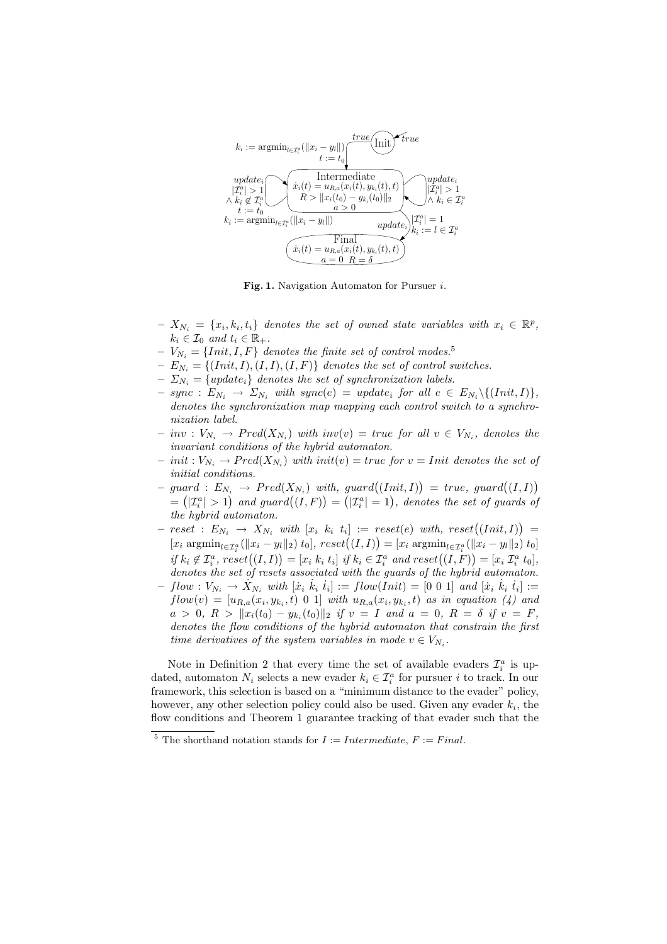

Fig. 1. Navigation Automaton for Pursuer i.

- $X_{N_i} = \{x_i, k_i, t_i\}$  denotes the set of owned state variables with  $x_i \in \mathbb{R}^p$ ,  $k_i \in \mathcal{I}_0$  and  $t_i \in \mathbb{R}_+$ .
- $-V_{N_i} = \{Init, I, F\}$  denotes the finite set of control modes.<sup>5</sup>
- $-E_{N_i} = \{(Init, I), (I, I), (I, F)\}\$  denotes the set of control switches.
- $-\sum_{N_i} = \{update_i\}$  denotes the set of synchronization labels.
- $\text{ sync}: E_{N_i} \rightarrow \Sigma_{N_i} \text{ with } \text{sync}(e) = \text{ update}_i \text{ for all } e \in E_{N_i} \setminus \{(\text{Init}, I)\},$ denotes the synchronization map mapping each control switch to a synchronization label.
- $-inv: V_{N_i} \to Pred(X_{N_i})$  with  $inv(v) = true$  for all  $v \in V_{N_i}$ , denotes the invariant conditions of the hybrid automaton.
- $-$  init :  $V_{N_i} \rightarrow Pred(X_{N_i})$  with init(v) = true for  $v = Init$  denotes the set of initial conditions. ¢
- $-$  guard :  $E_{N_i} \rightarrow Pred(X_{N_i})$  with, guard $((Init, I))$  $= true, \; guard((I, I))$ guara:  $EN_i \rightarrow Prelu(X_{N_i})$  with, guara $((Inti, I)) = true$ , guara $((I, I))$ <br>=  $(|\mathcal{I}_i^a| > 1)$  and guard $((I, F)) = (|\mathcal{I}_i^a| = 1)$ , denotes the set of guards of  $arg: E_{N_i} \rightarrow Freq(X_{N_i})$  with,  $g$ the hybrid automaton. ¢
- $-$  reset :  $E_{N_i} \rightarrow X_{N_i}$  with  $[x_i \; k_i \; t_i] := reset(e)$  with,  $reset((Init, I))$  $reset(e) \text{ with, } reset((Init, I)) =$  $\begin{align} \mathcal{L}[\mathcal{L}_i] \mathcal{L}[\mathcal{L}_i] \mathcal{L}[\mathcal{L}_i] \mathcal{L}[\mathcal{L}_i] \mathcal{L}[\mathcal{L}_i] \mathcal{L}[\mathcal{L}_i] \mathcal{L}[\mathcal{L}_i] \mathcal{L}[\mathcal{L}_i] \mathcal{L}[\mathcal{L}_i] \end{align} \begin{align} \mathcal{L}[\mathcal{L}_i] \mathcal{L}[\mathcal{L}_i] \mathcal{L}[\mathcal{L}_i] \mathcal{L}[\mathcal{L}_i] \mathcal{L}[\mathcal{L}_i] \end{align}$  $\begin{split} \text{if } k_i \not\in \mathcal{I}_i^{a} \text{, } \text{reset}((I, I)) = [x_i \ k_i \ t_i] \text{ if } k_i \in \mathcal{I}_i^{a} \text{ and } \text{reset}((I, F)) = [x_i \ \mathcal{I}_i^{a} \text{, } \text{test}((I, I)) = [x_i \ k_i \ t_i] \text{ if } k_i \in \mathcal{I}_i^{a} \text{ and } \text{reset}((I, F)) = [x_i \ \mathcal{I}_i^{a} \ t_0], \end{split}$ denotes the set of resets associated with the guards of the hybrid automaton.
- $flow: V_{N_i} \rightarrow X_{N_i} \text{ with } [\dot{x}_i \; \dot{k}_i \; \dot{t}_i] := flow(Init) = [0 \; 0 \; 1] \text{ and } [\dot{x}_i \; \dot{k}_i \; \dot{t}_i] :=$  $flow(v) = [u_{R,a}(x_i, y_{k_i}, t) \; 0 \; 1]$  with  $u_{R,a}(x_i, y_{k_i}, t)$  as in equation (4) and  $a \, > \, 0, \; R \, > \; \|x_i(t_0) - y_{k_i}(t_0)\|_2 \; \; \text{if} \; v \, = \, I \; \; \text{and} \; \; a \, = \, 0, \; R \, = \, \delta \; \; \text{if} \; v \, = \, F,$ denotes the flow conditions of the hybrid automaton that constrain the first time derivatives of the system variables in mode  $v \in V_{N_i}$ .

Note in Definition 2 that every time the set of available evaders  $\mathcal{I}_i^a$  is updated, automaton  $N_i$  selects a new evader  $k_i \in \mathcal{I}_i^a$  for pursuer i to track. In our framework, this selection is based on a "minimum distance to the evader" policy, however, any other selection policy could also be used. Given any evader  $k_i$ , the flow conditions and Theorem 1 guarantee tracking of that evader such that the

 $\overline{5}$  The shorthand notation stands for  $I := Intermediate, F := Final$ .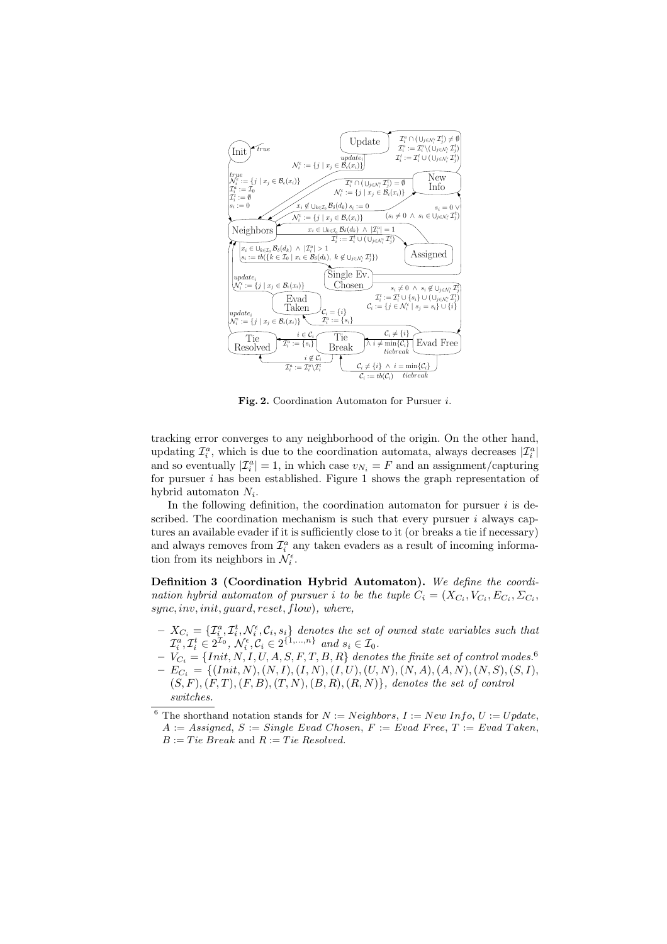

Fig. 2. Coordination Automaton for Pursuer i.

tracking error converges to any neighborhood of the origin. On the other hand, updating  $\mathcal{I}_i^a$ , which is due to the coordination automata, always decreases  $|\mathcal{I}_i^a|$ and so eventually  $|\mathcal{I}_i^a|=1$ , in which case  $v_{N_i}=F$  and an assignment/capturing for pursuer  $i$  has been established. Figure 1 shows the graph representation of hybrid automaton  $N_i$ .

In the following definition, the coordination automaton for pursuer  $i$  is described. The coordination mechanism is such that every pursuer  $i$  always captures an available evader if it is sufficiently close to it (or breaks a tie if necessary) and always removes from  $\mathcal{I}_i^a$  any taken evaders as a result of incoming information from its neighbors in  $\mathcal{N}_{i}^{\epsilon}$ .

Definition 3 (Coordination Hybrid Automaton). We define the coordination hybrid automaton of pursuer i to be the tuple  $C_i = (X_{C_i}, V_{C_i}, E_{C_i}, \Sigma_{C_i},$ sync, inv, init, guard, reset, flow), where,

- $-X_{C_i} = \{ \mathcal{I}^a_i, \mathcal{I}^t_i, \mathcal{N}^\epsilon_i, \mathcal{C}_i, s_i \}$  denotes the set of owned state variables such that  $\mathcal{I}_i^a, \mathcal{I}_i^t \in 2^{\mathcal{I}_0}, \, \mathcal{N}_i^{\epsilon}, \mathcal{C}_i \in 2^{\{1, ..., n\}} \, \text{ and } s_i \in \mathcal{I}_0.$
- $-V_{C_i} = \{Init, N, I, U, A, S, F, T, B, R \}$  denotes the finite set of control modes. $^6$  $-E_{C_i} = \{(Init, N), (N, I), (I, N), (I, U), (U, N), (N, A), (A, N), (N, S), (S, I),$
- $(S, F), (F, T), (F, B), (T, N), (B, R), (R, N)$ , denotes the set of control switches.

<sup>&</sup>lt;sup>6</sup> The shorthand notation stands for  $N := Neighbors, I := NewInfo, U := Update,$  $A := Assigned, S := Single\; Evad\;Chosen, F := Evad\;Free, T := Evad\;Takeen,$  $B := Tie~Break$  and  $R := Tie~Resolved$ .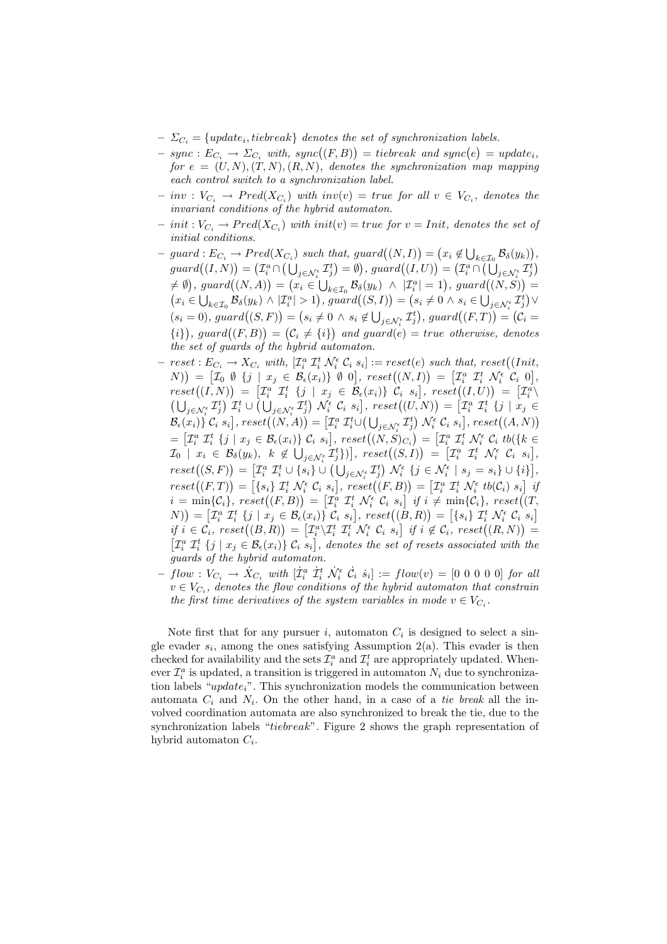- $\sum_{i=1}^{\infty}$  = {update<sub>i</sub>, tiebreak} denotes the set of synchronization labels.
- $\omega_{C_i} = \{update_i, item \, \text{car} \}$  achoes the set of synchronization tables.<br>  $\, sync : E_{C_i} \rightarrow \Sigma_{C_i} \, with, \, sync((F, B)) = tiebreak \, and \, sync(e) = update_i,$ for  $e = (U, N), (T, N), (R, N)$ , denotes the synchronization map mapping each control switch to a synchronization label.
- $-inv: V_{C_i} \to Pred(X_{C_i})$  with  $inv(v) = true$  for all  $v \in V_{C_i}$ , denotes the invariant conditions of the hybrid automaton.
- $-$  init :  $V_{C_i} \rightarrow Pred(X_{C_i})$  with init(v) = true for  $v = Init$ , denotes the set of initial conditions. ¢ ¡ ¢
- $-$  guard :  $E_{C_i} \rightarrow Pred(X_{C_i})$  such that, guard $((N, I))$ =  $x_i \notin \bigcup$  $k\in\mathcal{I}_0$   $\mathcal{B}_{\delta}(y_k)$  $\rightarrow Pred(X_{C_i})$  such that, guard $((N, I)) = (x_i \notin \bigcup_{k \in \mathcal{I}_0} \mathcal{B}_{\delta}(y_k)),$  $g u a t d (L, N) = (I_a^a \cap (\bigcup_{j \in N_i^{\epsilon}} I_j^t) = \emptyset), \, g u a t d ((I, U)) = (I_a^a \cap (\bigcup_{j \in N_i^{\epsilon}} I_j^t))$  $\begin{aligned} \mathcal{L}(\mathcal{L},\mathcal{L},\mathcal{L})&=\langle \mathcal{L}_i \oplus (\mathcal{L}_j \in \mathcal{N}_i^{\epsilon} \mathcal{L}_j) - \mathcal{L}_j \rangle, \, \text{g} \text{ and } \mathcal{L}((\mathcal{L},\mathcal{L})^{\epsilon}) = (\mathcal{L}_i \oplus (\mathcal{L}_j \in \mathcal{N}_i^{\epsilon} \mathcal{L}_j) \\ &\neq \emptyset), \, \text{g} \text{ and } \mathcal{L}((N,A)) = \{x_i \in \bigcup_{k \in \mathcal{I}_0} \mathcal{B}_{\delta}(y_k)$  $x_i \in \bigcup_{k \in \mathcal{I}_0} \mathcal{B}_{\delta}(y_k) \wedge |\mathcal{I}_i^a| > 1$ , guard $((S, I)) = (s_i \neq 0 \wedge s_i \in \bigcup_{j \in \mathcal{N}_i^{\epsilon}} \mathcal{I}_j^t) \vee$ <br> $x_i \in \bigcup_{k \in \mathcal{I}_0} \mathcal{B}_{\delta}(y_k) \wedge |\mathcal{I}_i^a| > 1$ , guard $((S, I)) = (s_i \neq 0 \wedge s_i \in \bigcup_{j \in \mathcal{N}_i^{\epsilon}} \mathcal{I}_j^t) \vee$  $(s_i = 0),$  guard $((S, F)) = (s_i \neq 0 \land s_i \notin \bigcup_{j \in \mathcal{N}_{\xi}} \mathcal{I}_{j}^{t}),$  guard $((F, T)) = (\mathcal{C}_i = \mathcal{C}_i)$  $(i<sub>i</sub> = 0),$  guard $((S, Y)) = (s<sub>i</sub> \neq 0)$  or  $s<sub>i</sub> \in \bigcup_{j \in \mathbb{N}_i^k} s_j$ , guard $((Y, Y)) = (s<sub>i</sub> = i<sub>i</sub>)$ <br>  $(ii)$ , guard $((F, B)) = (C<sub>i</sub> \neq i<sub>i</sub>)$  and guard $(e) = true$  otherwise, denotes the set of guards of the hybrid automaton.
- $-$  reset :  $E_{C_i} \rightarrow X_{C_i}$  with,  $[\mathcal{I}_i^a \mathcal{I}_i^t \mathcal{N}_i^{\epsilon} \mathcal{C}_i s_i] := reset(e)$  such that, reset $((Init, \mathcal{I}_i^a \rightarrow \mathcal{I}_i^t \mathcal{N}_i^{\epsilon} \mathcal{C}_i s_i])$  $\begin{aligned} \mathcal{L}(\mathcal{L}_i, \mathcal{L}_i) = \mathcal{L}(\mathcal{L}_i, \mathcal{L}_i, \mathcal{L}_i, \mathcal{L}_i, \mathcal{L}_i, \mathcal{L}_i, \mathcal{L}_i, \mathcal{L}_i, \mathcal{L}_i, \mathcal{L}_i, \mathcal{L}_i, \mathcal{L}_i, \mathcal{L}_i, \mathcal{L}_i, \mathcal{L}_i, \mathcal{L}_i, \mathcal{L}_i, \mathcal{L}_i, \mathcal{L}_i, \mathcal{L}_i, \mathcal{L}_i, \mathcal{L}_i, \mathcal{L}_i, \math$ ¢ = £  $\mathcal{I}^a_i$   $\mathcal{I}^t_i$   $\{j \mid x_j \in \mathcal{B}_{\epsilon}(x_i)\}$   $\mathcal{C}_i$   $s_i$  $\begin{aligned} \mathcal{L}(I) &= \mathcal{L}_i \cdot \mathcal{L}_i \cdot \mathcal{L}_i \ \mathcal{L}_i &= \mathcal{L}_i \cdot \mathcal{L}_i \mathcal{L}_i \end{aligned}$  $\tilde{\zeta}$ =  $\frac{i}{r}$  $\text{reset}((I, N)) = \begin{bmatrix} \mathcal{I}_i^a & \mathcal{I}_i^t & \{j \mid x_j \in \mathcal{B}_{\epsilon}(x_i)\} & \mathcal{C}_i & s_i \end{bmatrix}, \text{reset}((I, U)) = \begin{bmatrix} \mathcal{I}_i^a \\ \mathcal{I}_i^t \end{bmatrix}$  $_{j\in\mathcal{N}_{i}^{\epsilon}}\mathcal{I}_{j}^{t}$ ¢  $\mathcal{I}_i^t$  ∪  $\frac{1}{2}$  $_{j\in\mathcal{N}_{i}^{\epsilon}}\mathcal{I}_{j}^{t}$  $\left(\begin{array}{c} x_j \in B \ \lambda_i^{\epsilon} \mathcal{C}_i \ s_i \end{array}\right)$ ¤ , reset¡ (U, N)  $\tilde{\phantom{a}}$ = £  $\mathcal{I}_{i}^{t} \cup (\bigcup_{j \in \mathcal{N}_{i}^{\epsilon}} \mathcal{I}_{j}^{t}) \mathcal{N}_{i}^{\epsilon} \mathcal{C}_{i} s_{i}], \ \text{reset}((U, N)) = [\mathcal{I}_{i}^{a} \mathcal{I}_{i}^{t} \{j \mid x_{j} \in \mathcal{C}_{i} \}$  $\mathcal{B}_{\epsilon}(x_i)$   $\mathcal{C}_i$   $\epsilon_i$   $\epsilon_j$   $\mathcal{D}_{i}$   $\epsilon_i$   $\epsilon_j$   $\epsilon_j$   $\mathcal{D}_{i}$   $\epsilon_i$   $\epsilon_j$   $\epsilon_j$   $\epsilon_j$   $\epsilon_j$   $\epsilon_j$   $\epsilon_j$   $\epsilon_j$   $\epsilon_j$   $\epsilon_j$   $\epsilon_j$   $\epsilon_j$   $\epsilon_j$   $\epsilon_j$   $\epsilon_j$   $\epsilon_j$   $\epsilon_j$   $\epsilon_j$   $\epsilon_j$   $\epsilon_j$   $\epsilon_j$   $\epsilon_j$   $\epsilon_j$   $\epsilon_j$   $\mathcal{L}_{\epsilon}(x_i)$   $\mathcal{L}_{i}$   $\sigma_{i}$   $\sigma_{i}$   $\mathcal{L}_{i}$   $\sigma_{i}$   $\sigma_{i}$   $\sigma_{i}$   $\sigma_{i}$   $\sigma_{i}$   $\sigma_{i}$   $\sigma_{i}$   $\sigma_{i}$   $\sigma_{i}$   $\sigma_{i}$   $\sigma_{i}$   $\sigma_{i}$   $\sigma_{i}$   $\sigma_{i}$   $\sigma_{i}$   $\sigma_{i}$   $\sigma_{i}$   $\sigma_{i}$   $\sigma_{i}$   $\sigma_{i}$   $\sigma_{i}$   $\mathcal{I}_0$  |  $x_i \in \mathcal{B}_{\delta}(y_k), \; k \notin \bigcup$  $_{j\in\mathcal{N}_{i}^{\epsilon}}\mathcal{I}_{j}^{t}\})$  $else$   $e^{i}$  ((1v, 5) $C_i$ )<br>, reset((S, I)  $\overline{a}$ =  $\frac{i}{\tau}$  $\mathcal{I}^a_i$   $\mathcal{I}^t_i$   $\mathcal{N}^{\epsilon}_i$   $\mathcal{C}_i$   $s_i$ ج<br>- $\mathcal{B}_{\delta}(y_k), \; k \notin \bigcup_{j \in \mathcal{N}_i^{\epsilon}} \mathcal{I}_j^{t} \} \big) \big], \; reset\big( (S, I) \big) \; = \; \big[ \mathcal{I}_i^a \; \; \mathcal{I}_i^t \; \; \mathcal{N}_i^{\epsilon} \; \; \mathcal{C}_i \; \; s_i \big],$  $reset((S, F)) = \begin{bmatrix} \mathcal{I}_a^a & \mathcal{I}_b^t \cup \{s_i\} \cup \left( \bigcup_{j \in \mathcal{N}_i^e} \mathcal{I}_j^t \right) & \mathcal{N}_f^e \end{bmatrix} \begin{bmatrix} \mathcal{I}_i^e & \mathcal{I}_i^e & \mathcal{N}_i^e \end{bmatrix} \begin{bmatrix} \mathcal{I}_i^e & \mathcal{I}_i^e \end{bmatrix} \begin{bmatrix} \mathcal{I}_i^e & \mathcal{I}_i^e \end{bmatrix} \begin{bmatrix} \mathcal{I}_i^e & \mathcal{I}_i^e \$  $reset((F,T)) = \begin{bmatrix} \{s_i\} \mathcal{I}_i^t \mathcal{N}_i^{\epsilon} \mathcal{C}_i \ s_i \end{bmatrix}, \, \text{reset}((F,B)) = \begin{bmatrix} \mathcal{I}_i^a \mathcal{I}_i^t \mathcal{N}_i^{\epsilon} \ t_i^b \end{bmatrix}, \, \text{reset}((F,B)) = \begin{bmatrix} \{s_i\} \mathcal{I}_i^t \mathcal{N}_i^{\epsilon} \end{bmatrix}$  $\begin{aligned} \mathcal{L} = \min\{(\mathcal{C}_i, \mathcal{C}_i\} \;,\; \mathcal{L}_i \; \mathcal{N}_i \; \mathcal{C}_i \; s_i], \; \mathcal{L} = \mathcal{L}_i \; \mathcal{L}_i \; \mathcal{N}_i \; \mathcal{L}_i \; \mathcal{N}_i \; \mathcal{C}_i \; s_i], \; \mathcal{L}_i \; \mathcal{L}_i \; \mathcal{D}_i \} = [\mathcal{I}_i \; \mathcal{L}_i \; \mathcal{N}_i \; \mathcal{C}_i \; s_i], \; \mathcal{U}_i \; \mathcal{L}_i$  $\begin{aligned} \mathcal{I}_i &= \min\{\mathcal{C}_i\}, \; \mathit{reset}((\mathcal{I}, D)) = [\mathcal{I}_i \; \; \mathcal{I}_i \; \; \mathcal{N}_i \; \; \mathcal{C}_i \; \; s_i] \; \; \text{if} \; \; \mathcal{I} \neq \min\{\mathcal{C}_i\}, \; \mathit{reset}((D_i, D_i)) = [\mathcal{I}_i \; \; \mathcal{I}_i \; \; \mathcal{I}_i] \; \; \text{if} \; \; \mathcal{I}_i \; \; \mathcal{I}_i] \,, \; \mathit{Test}((D_i, D_i)) =$ if <sup>i</sup> ∈ Ci, reset¡ (B, R) = I a i \I<sup>t</sup> <sup>i</sup> I t <sup>i</sup> N <sup>²</sup> <sup>i</sup> C<sup>i</sup> s<sup>i</sup> if <sup>i</sup> 6∈ Ci, reset¡ (R, N) <sup>=</sup> £ ¤  $\mathcal{I}_i^a \mathcal{I}_i^t \{j \mid x_j \in \mathcal{B}_{\epsilon}(x_i)\} \mathcal{C}_i \ s_i],$  denotes the set of resets associated with the guards of the hybrid automaton.
- $flow: V_{C_i} \to \dot{X}_{C_i}$  with  $[\dot{\mathcal{I}}_i^a \; \dot{\mathcal{I}}_i^t \; \dot{\mathcal{N}}_i^{\epsilon} \; \dot{\mathcal{C}}_i \; \dot{s}_i] := flow(v) = [0 \; 0 \; 0 \; 0 \; 0]$  for all  $v \in V_{C_i}$ , denotes the flow conditions of the hybrid automaton that constrain the first time derivatives of the system variables in mode  $v \in V_{C_i}$ .

Note first that for any pursuer i, automaton  $C_i$  is designed to select a single evader  $s_i$ , among the ones satisfying Assumption 2(a). This evader is then checked for availability and the sets  $\mathcal{I}_i^a$  and  $\mathcal{I}_i^t$  are appropriately updated. Whenever  $\mathcal{I}_i^a$  is updated, a transition is triggered in automaton  $N_i$  due to synchronization labels " $update_i$ ". This synchronization models the communication between automata  $C_i$  and  $N_i$ . On the other hand, in a case of a tie break all the involved coordination automata are also synchronized to break the tie, due to the synchronization labels "*tiebreak*". Figure 2 shows the graph representation of hybrid automaton  $C_i$ .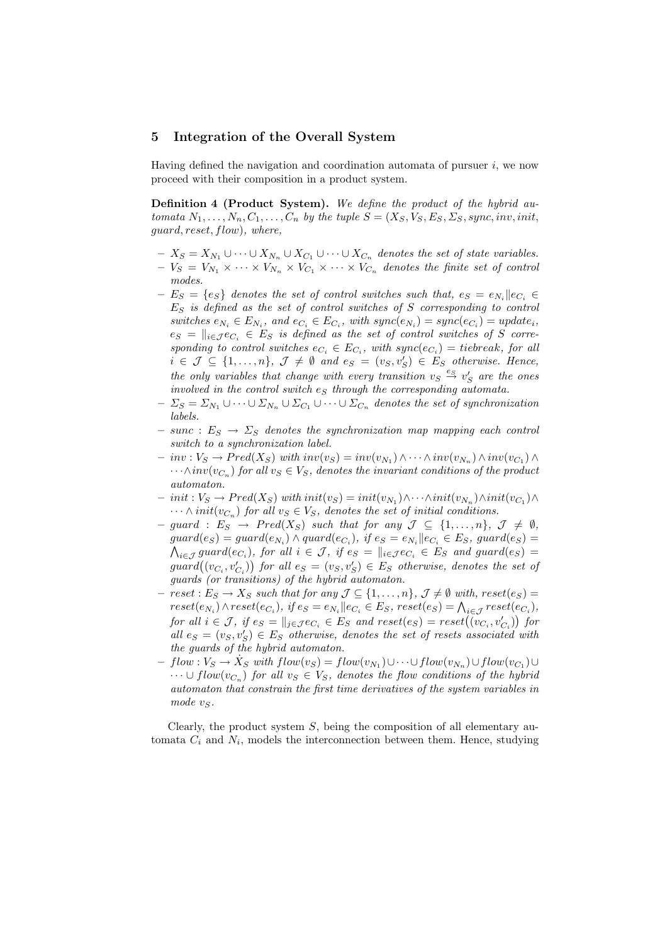### 5 Integration of the Overall System

Having defined the navigation and coordination automata of pursuer  $i$ , we now proceed with their composition in a product system.

Definition 4 (Product System). We define the product of the hybrid automata  $N_1, \ldots, N_n, C_1, \ldots, C_n$  by the tuple  $S = (X_S, V_S, E_S, S_S, sync, inv, init,$ guard, reset, flow), where,

- $X_S = X_{N_1} \cup \cdots \cup X_{N_n} \cup X_{C_1} \cup \cdots \cup X_{C_n}$  denotes the set of state variables.  $-V_S = V_{N_1} \times \cdots \times V_{N_n} \times V_{C_1} \times \cdots \times V_{C_n}$  denotes the finite set of control modes.
- $-E_S = \{e_S\}$  denotes the set of control switches such that,  $e_S = e_{N_i} || e_{C_i}$  $E<sub>S</sub>$  is defined as the set of control switches of S corresponding to control switches  $e_{N_i} \in E_{N_i}$ , and  $e_{C_i} \in E_{C_i}$ , with  $sync(e_{N_i}) = sync(e_{C_i}) = update_i$ ,  $e_S = ||_{i \in \mathcal{I}} e_{C_i} \in E_S$  is defined as the set of control switches of S corresponding to control switches  $e_{C_i} \in E_{C_i}$ , with  $sync(e_{C_i}) = tiebreak$ , for all  $i \in \mathcal{J} \subseteq \{1,\ldots,n\}, \mathcal{J} \neq \emptyset \text{ and } e_S = (v_S, v_S') \in E_S \text{ otherwise. Hence,}$ the only variables that change with every transition  $v_S \stackrel{e_S}{\rightarrow} v'_S$  are the ones involved in the control switch  $e_S$  through the corresponding automata.
- $-\Sigma_S = \Sigma_{N_1} \cup \cdots \cup \Sigma_{N_n} \cup \Sigma_{C_1} \cup \cdots \cup \Sigma_{C_n}$  denotes the set of synchronization labels.
- $-$  sunc :  $E_S \rightarrow \Sigma_S$  denotes the synchronization map mapping each control switch to a synchronization label.
- $-inv: V_S \to Pred(X_S)$  with  $inv(v_S) = inv(v_{N_1}) \wedge \cdots \wedge inv(v_{N_n}) \wedge inv(v_{C_1}) \wedge$  $\cdots \wedge inv(v_{C_n})$  for all  $v_S \in V_S$ , denotes the invariant conditions of the product automaton.
- $-$  init :  $V_S \rightarrow Pred(X_S)$  with  $init(v_S) = init(v_{N_1}) \wedge \cdots \wedge init(v_{N_n}) \wedge init(v_{C_1}) \wedge \cdots$  $\cdots \wedge init(v_{C_n})$  for all  $v_S \in V_S$ , denotes the set of initial conditions.
- $-$  guard :  $E_S \rightarrow Pred(X_S)$  such that for any  $\mathcal{J} \subseteq \{1, ..., n\}, \mathcal{J} \neq \emptyset$ ,  $guard(e_S) = guard(e_{N_i}) \wedge guard(e_{C_i}), \text{ if } e_S = e_{N_i} || e_{C_i} \in E_S, \text{ guard}(e_S) =$  $\mathcal{L}_{i\in\mathcal{J}}$  guard $(e_{C_i})$ , for all  $i\in\mathcal{J}$ , if  $e_S = ||_{i\in\mathcal{J}}e_{C_i} \in E_S$  and guard $(e_S) =$  $\begin{array}{rcl} N_{i\in\mathcal{J}} \, g$ uar $u(e_{C_i}), \; \text{for all} \; i \in \mathcal{J}, \; q \; e_S = ||i \in \mathcal{J} e_{C_i} \; e \; E_S \; \; \text{and} \; g \, u \, u \, e_S = g \, u \, \text{and} \big( (v_{C_i}, v'_{C_i}) \big) \; \text{for all} \; e_S = (v_S, v'_S) \; \in E_S \; \; \text{otherwise}, \; \text{denotes the set of} \end{array}$ guards (or transitions) of the hybrid automaton.
- $\,reset : E_S \to X_S \, such \, that \, for \, any \, \mathcal{J} \subseteq \{1, \ldots, n\}, \, \mathcal{J} \neq \emptyset \, with, \, reset(e_S) =$  $reset(e_{N_i}) \wedge reset(e_{C_i}), \text{ if } e_S = e_{N_i} \parallel e_{C_i} \in E_S, \text{ reset}(e_S) = \bigwedge_{i \in J} reset(e_{C_i}),$  $f \circ \text{Set}(e_{N_i}) \land \text{Test}(e_{C_i}), \quad \text{if } e_S = e_{N_i} || e_{C_i} \in E_S, \text{Test}(e_S) = \bigcap_{i \in \mathcal{J}} \text{Test}(e_{C_i}),$ <br>for all  $i \in \mathcal{J}, \quad \text{if } e_S = ||_{j \in \mathcal{J}} e_{C_i} \in E_S \text{ and } \text{reset}(e_S) = \text{reset}((v_{C_i}, v'_{C_i}))$  for all  $e_S = (v_S, v_S') \in E_S$  otherwise, denotes the set of resets associated with the guards of the hybrid automaton.
- $-flow: V_S \to \dot{X}_S$  with  $flow(v_S) = flow(v_{N_1}) \cup \cdots \cup flow(v_{N_n}) \cup flow(v_{C_1}) \cup$  $\dots \cup flow(v_{C_n})$  for all  $v_S \in V_S$ , denotes the flow conditions of the hybrid automaton that constrain the first time derivatives of the system variables in mode  $v_S$ .

Clearly, the product system  $S$ , being the composition of all elementary automata  $C_i$  and  $N_i$ , models the interconnection between them. Hence, studying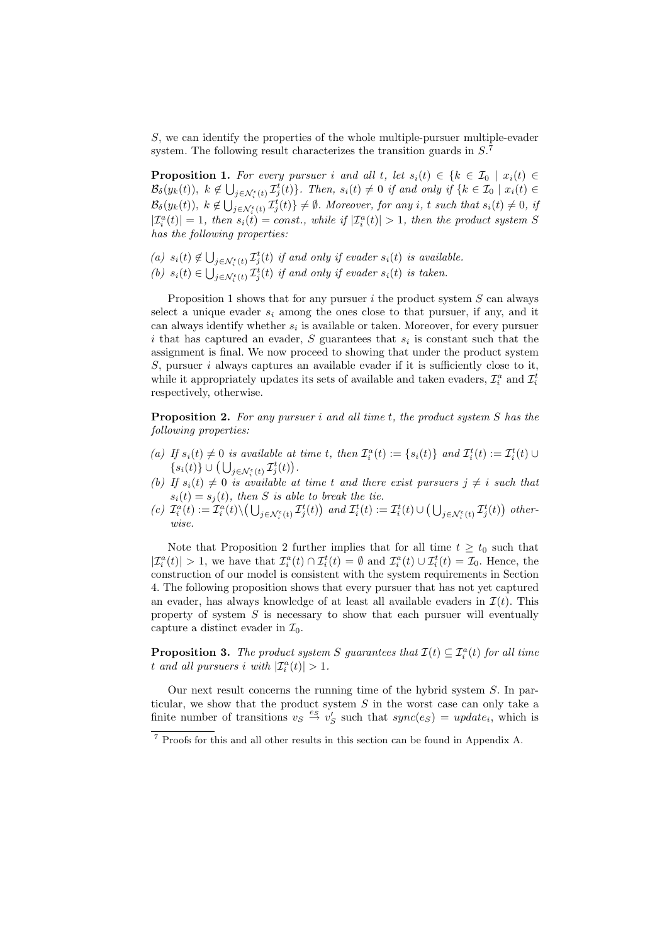S, we can identify the properties of the whole multiple-pursuer multiple-evader system. The following result characterizes the transition guards in  $S^7$ .

**Proposition 1.** For every pursuer i and all t, let  $s_i(t) \in \{k \in \mathcal{I}_0 \mid x_i(t) \in \mathcal{I}_0 : (k \in \mathcal{I}_0 \mid x_i(t)) \in \mathcal{I}_0 : (k \in \mathcal{I}_0 \mid x_i(t)) \in \mathcal{I}_1 : (k \in \mathcal{I}_0 \mid x_i(t)) \in \mathcal{I}_1 : (k \in \mathcal{I}_0 \mid x_i(t)) \in \mathcal{I}_2 : (k \in \mathcal{I}_0 \mid x_i(t)) \in \mathcal{I}_2$  $\mathcal{B}_{\delta}(y_k(t)), k \notin \bigcup_{j \in \mathcal{N}_{\delta}^{\epsilon}(t)} \mathcal{I}_{j}^{t}(t) \big\}.$  Then,  $s_i(t) \neq 0$  if and only if  $\{k \in \mathcal{I}_0 \mid x_i(t) \in$  $\mathcal{B}_{\delta}(y_k(t)),\;k\notin \bigcup_{j\in \mathcal{N}_{\epsilon}^{\epsilon}}\mathcal{B}_{\delta}(y_k(t)),\;k\notin \bigcup_{j\in \mathcal{N}_{\epsilon}}\mathcal{B}_{\delta}(y_k(t))$  $j \in \mathcal{N}_{i}(t)$ ,  $\mathcal{I}_{j}^{t}(t)$   $\} \neq \emptyset$ . Moreover, for any i, t such that  $s_{i}(t) \neq 0$ , if  $|\mathcal{I}_i^a(t)| = 1$ , then  $s_i(t) = const.$ , while if  $|\mathcal{I}_i^a(t)| > 1$ , then the product system S has the following properties:

- (a)  $s_i(t) \notin \bigcup$  $\sum_{j\in\mathcal{N}_i^\epsilon(t)}\mathcal{I}_j^t(t)$  if and only if evader  $s_i(t)$  is available.
- $(b) s_i(t) \in \bigcup$  $j \in \mathcal{N}_{i}^{\epsilon}(t)$   $\mathcal{I}_{j}^{t}(t)$  if and only if evader  $s_{i}(t)$  is taken.

Proposition 1 shows that for any pursuer  $i$  the product system  $S$  can always select a unique evader  $s_i$  among the ones close to that pursuer, if any, and it can always identify whether  $s_i$  is available or taken. Moreover, for every pursuer i that has captured an evader,  $S$  guarantees that  $s_i$  is constant such that the assignment is final. We now proceed to showing that under the product system S, pursuer  $i$  always captures an available evader if it is sufficiently close to it, while it appropriately updates its sets of available and taken evaders,  $\mathcal{I}_i^a$  and  $\mathcal{I}_i^t$ respectively, otherwise.

**Proposition 2.** For any pursuer i and all time t, the product system  $S$  has the following properties:

- (a) If  $s_i(t) \neq 0$  is available at time t, then  $\mathcal{I}_i^a(t) := \{s_i(t)\}\$  and  $\mathcal{I}_i^t(t) := \mathcal{I}_i^t(t) \cup$  $\{s_i(t)\}\cup\big(\bigcup_{j\in\mathcal{N}_i^\epsilon(t)}\mathcal{I}_j^t(t)\big).$
- (b) If  $s_i(t) \neq 0$  is available at time t and there exist pursuers  $j \neq i$  such that  $s_i(t) = s_j(t)$ , then S is able to break the tie. ¢
- $s_i(t) = s_j(t)$ , then S is done to oreak the tie.<br>
(c)  $\mathcal{I}_i^a(t) := \mathcal{I}_i^a(t) \setminus \left( \bigcup_{j \in \mathcal{N}_i^{\epsilon}(t)} \mathcal{I}_j^t(t) \right)$  and  $\mathcal{I}_i^t(t) := \mathcal{I}_i^t(t) \cup \left( \bigcup_{j \in \mathcal{N}_i^{\epsilon}(t)} \mathcal{I}_j^t(t) \right)$  $_{j\in\mathcal{N}_{i}^{\epsilon}\left( t\right) }\mathcal{I}_{j}^{t}(t)$ otherwise.

Note that Proposition 2 further implies that for all time  $t \geq t_0$  such that  $|\mathcal{I}_i^a(t)| > 1$ , we have that  $\mathcal{I}_i^a(t) \cap \mathcal{I}_i^t(t) = \emptyset$  and  $\mathcal{I}_i^a(t) \cup \mathcal{I}_i^t(t) = \mathcal{I}_0$ . Hence, the construction of our model is consistent with the system requirements in Section 4. The following proposition shows that every pursuer that has not yet captured an evader, has always knowledge of at least all available evaders in  $\mathcal{I}(t)$ . This property of system  $S$  is necessary to show that each pursuer will eventually capture a distinct evader in  $\mathcal{I}_0$ .

**Proposition 3.** The product system S guarantees that  $\mathcal{I}(t) \subseteq \mathcal{I}_i^a(t)$  for all time t and all pursuers i with  $|\mathcal{I}_i^a(t)| > 1$ .

Our next result concerns the running time of the hybrid system  $S$ . In particular, we show that the product system  $S$  in the worst case can only take a finite number of transitions  $v_S \stackrel{es}{\rightarrow} v'_S$  such that  $sync(e_S) = update_i$ , which is

<sup>7</sup> Proofs for this and all other results in this section can be found in Appendix A.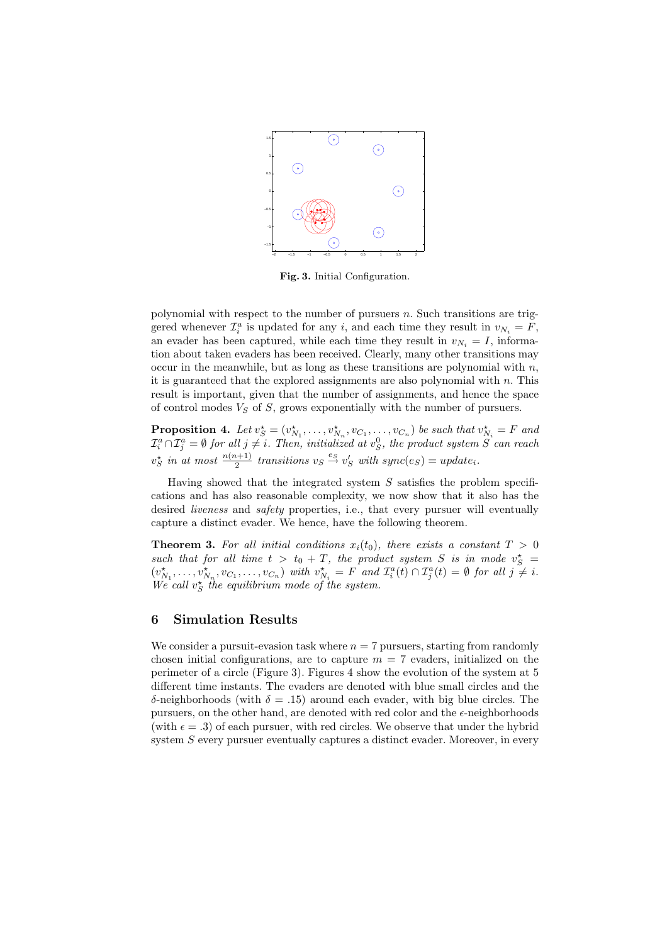

Fig. 3. Initial Configuration.

polynomial with respect to the number of pursuers  $n$ . Such transitions are triggered whenever  $\mathcal{I}_i^a$  is updated for any i, and each time they result in  $v_{N_i} = F$ , an evader has been captured, while each time they result in  $v_{N_i} = I$ , information about taken evaders has been received. Clearly, many other transitions may occur in the meanwhile, but as long as these transitions are polynomial with  $n$ , it is guaranteed that the explored assignments are also polynomial with  $n$ . This result is important, given that the number of assignments, and hence the space of control modes  $V_S$  of  $S$ , grows exponentially with the number of pursuers.

**Proposition 4.** Let  $v_S^* = (v_{N_1}^*, \ldots, v_{N_n}^*, v_{C_1}, \ldots, v_{C_n})$  be such that  $v_{N_i}^* = F$  and  $\mathcal{I}_i^a\cap\mathcal{I}_j^a=\emptyset$  for all  $j\neq i$ . Then, initialized at  $v_S^0$ , the product system  $\overset{\sim}{S}$  can reach  $v_S^*$  in at most  $\frac{n(n+1)}{2}$  transitions  $v_S \stackrel{e_S}{\rightarrow} v_S'$  with  $sync(e_S) = update_i$ .

Having showed that the integrated system  $S$  satisfies the problem specifications and has also reasonable complexity, we now show that it also has the desired *liveness* and *safety* properties, i.e., that every pursuer will eventually capture a distinct evader. We hence, have the following theorem.

**Theorem 3.** For all initial conditions  $x_i(t_0)$ , there exists a constant  $T > 0$ such that for all time  $t > t_0 + T$ , the product system S is in mode  $v_S^*$  =  $(v_{N_1}^{\star},...,v_{N_n}^{\star},v_{C_1},...,v_{C_n})$  with  $v_{N_i}^{\star} = F$  and  $\mathcal{I}_i^a(t) \cap \mathcal{I}_j^a(t) = \emptyset$  for all  $j \neq i$ . We call  $v_S^{\star}$  the equilibrium mode of the system.

## 6 Simulation Results

We consider a pursuit-evasion task where  $n = 7$  pursuers, starting from randomly chosen initial configurations, are to capture  $m = 7$  evaders, initialized on the perimeter of a circle (Figure 3). Figures 4 show the evolution of the system at 5 different time instants. The evaders are denoted with blue small circles and the δ-neighborhoods (with δ = .15) around each evader, with big blue circles. The pursuers, on the other hand, are denoted with red color and the  $\epsilon$ -neighborhoods (with  $\epsilon = .3$ ) of each pursuer, with red circles. We observe that under the hybrid system S every pursuer eventually captures a distinct evader. Moreover, in every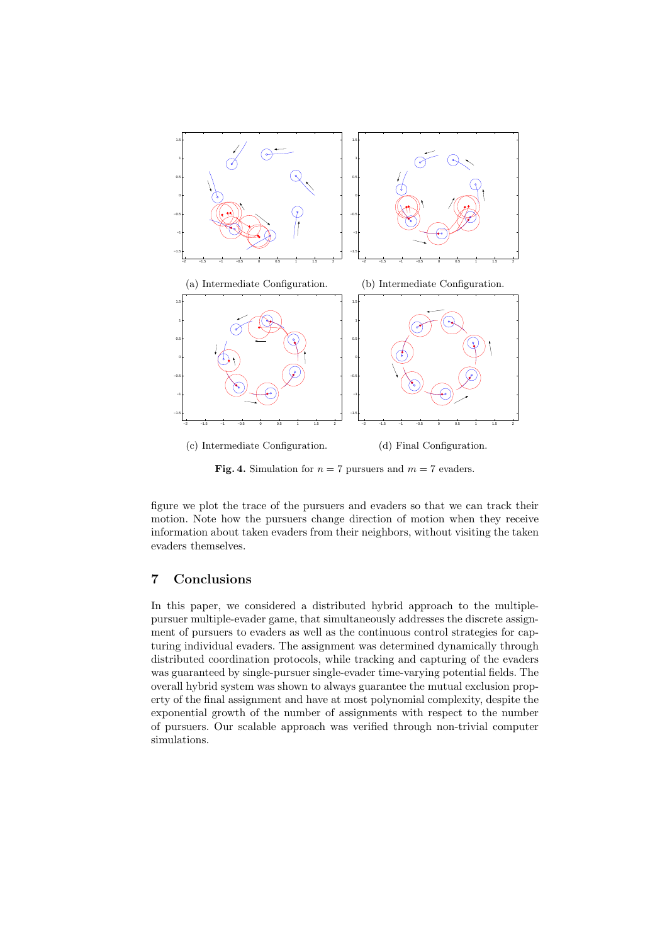

**Fig. 4.** Simulation for  $n = 7$  pursuers and  $m = 7$  evaders.

figure we plot the trace of the pursuers and evaders so that we can track their motion. Note how the pursuers change direction of motion when they receive information about taken evaders from their neighbors, without visiting the taken evaders themselves.

## 7 Conclusions

In this paper, we considered a distributed hybrid approach to the multiplepursuer multiple-evader game, that simultaneously addresses the discrete assignment of pursuers to evaders as well as the continuous control strategies for capturing individual evaders. The assignment was determined dynamically through distributed coordination protocols, while tracking and capturing of the evaders was guaranteed by single-pursuer single-evader time-varying potential fields. The overall hybrid system was shown to always guarantee the mutual exclusion property of the final assignment and have at most polynomial complexity, despite the exponential growth of the number of assignments with respect to the number of pursuers. Our scalable approach was verified through non-trivial computer simulations.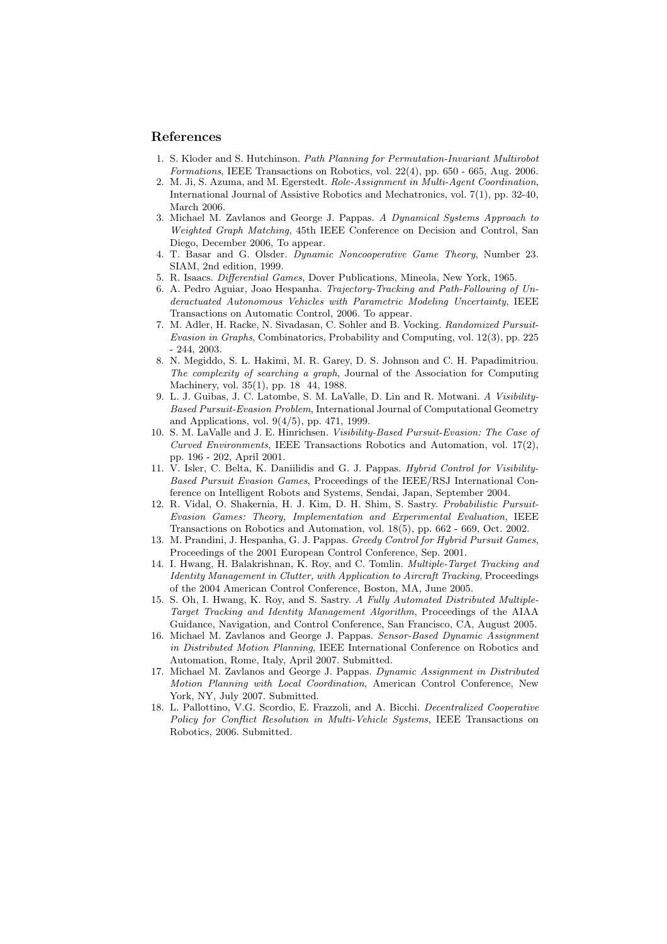### References

- 1. S. Kloder and S. Hutchinson. Path Planning for Permutation-Invariant Multirobot Formations, IEEE Transactions on Robotics, vol.  $22(4)$ , pp.  $650 - 665$ , Aug. 2006.
- 2. M. Ji, S. Azuma, and M. Egerstedt. Role-Assignment in Multi-Agent Coordination, International Journal of Assistive Robotics and Mechatronics, vol. 7(1), pp. 32-40, March 2006.
- 3. Michael M. Zavlanos and George J. Pappas. A Dynamical Systems Approach to Weighted Graph Matching, 45th IEEE Conference on Decision and Control, San Diego, December 2006, To appear.
- 4. T. Basar and G. Olsder. Dynamic Noncooperative Game Theory, Number 23. SIAM, 2nd edition, 1999.
- 5. R. Isaacs. Differential Games, Dover Publications, Mineola, New York, 1965.
- 6. A. Pedro Aguiar, Joao Hespanha. Trajectory-Tracking and Path-Following of Underactuated Autonomous Vehicles with Parametric Modeling Uncertainty, IEEE Transactions on Automatic Control, 2006. To appear.
- 7. M. Adler, H. Racke, N. Sivadasan, C. Sohler and B. Vocking. Randomized Pursuit-Evasion in Graphs, Combinatorics, Probability and Computing, vol. 12(3), pp. 225 - 244, 2003.
- 8. N. Megiddo, S. L. Hakimi, M. R. Garey, D. S. Johnson and C. H. Papadimitriou. The complexity of searching a graph, Journal of the Association for Computing Machinery, vol. 35(1), pp. 18 44, 1988.
- 9. L. J. Guibas, J. C. Latombe, S. M. LaValle, D. Lin and R. Motwani. A Visibility-Based Pursuit-Evasion Problem, International Journal of Computational Geometry and Applications, vol. 9(4/5), pp. 471, 1999.
- 10. S. M. LaValle and J. E. Hinrichsen. Visibility-Based Pursuit-Evasion: The Case of Curved Environments, IEEE Transactions Robotics and Automation, vol. 17(2), pp. 196 - 202, April 2001.
- 11. V. Isler, C. Belta, K. Daniilidis and G. J. Pappas. Hybrid Control for Visibility-Based Pursuit Evasion Games, Proceedings of the IEEE/RSJ International Conference on Intelligent Robots and Systems, Sendai, Japan, September 2004.
- 12. R. Vidal, O. Shakernia, H. J. Kim, D. H. Shim, S. Sastry. Probabilistic Pursuit-Evasion Games: Theory, Implementation and Experimental Evaluation, IEEE Transactions on Robotics and Automation, vol. 18(5), pp. 662 - 669, Oct. 2002.
- 13. M. Prandini, J. Hespanha, G. J. Pappas. Greedy Control for Hybrid Pursuit Games, Proceedings of the 2001 European Control Conference, Sep. 2001.
- 14. I. Hwang, H. Balakrishnan, K. Roy, and C. Tomlin. Multiple-Target Tracking and Identity Management in Clutter, with Application to Aircraft Tracking, Proceedings of the 2004 American Control Conference, Boston, MA, June 2005.
- 15. S. Oh, I. Hwang, K. Roy, and S. Sastry. A Fully Automated Distributed Multiple-Target Tracking and Identity Management Algorithm, Proceedings of the AIAA Guidance, Navigation, and Control Conference, San Francisco, CA, August 2005.
- 16. Michael M. Zavlanos and George J. Pappas. Sensor-Based Dynamic Assignment in Distributed Motion Planning, IEEE International Conference on Robotics and Automation, Rome, Italy, April 2007. Submitted.
- 17. Michael M. Zavlanos and George J. Pappas. Dynamic Assignment in Distributed Motion Planning with Local Coordination, American Control Conference, New York, NY, July 2007. Submitted.
- 18. L. Pallottino, V.G. Scordio, E. Frazzoli, and A. Bicchi. Decentralized Cooperative Policy for Conflict Resolution in Multi-Vehicle Systems, IEEE Transactions on Robotics, 2006. Submitted.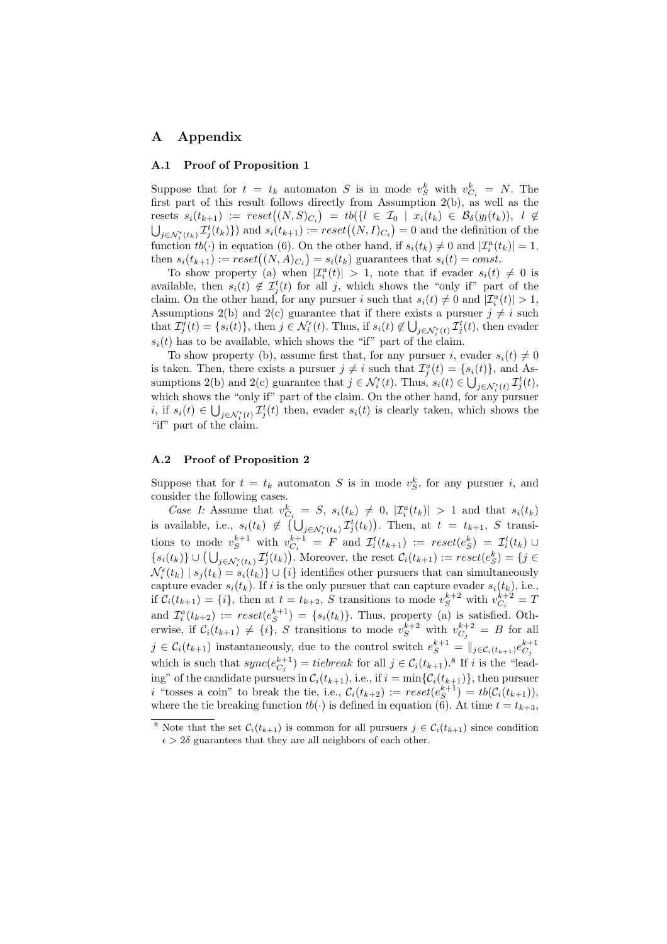# A Appendix

#### A.1 Proof of Proposition 1

Suppose that for  $t = t_k$  automaton S is in mode  $v_S^k$  with  $v_{C_i}^k = N$ . The first part of this result follows directly from Assumption 2(b), as well as the first part of this result follows directly from Assumption 2(b), as well as the<br>resets  $s_i(t_{k+1}) := reset((N, S)_{C_i}) = tb({i \in \mathcal{I}_0 \mid x_i(t_k) \in \mathcal{B}_\delta(y_i(t_k))}, i \notin \mathcal{C}_\delta$ sets  $s_i(t_{k+1}) := reset((N, S)C_i) = to$  $(t \in L_0 + x_i(t_k) \in D_{\delta}(y_i(t_k))$ ,  $t \notin$ <br> $j \in \mathcal{N}_i^{\epsilon}(t_k) \mathcal{I}_j^{\epsilon}(t_k)$ } and  $s_i(t_{k+1}) := reset((N, I)C_i) = 0$  and the definition of the function  $tb(\cdot)$  in equation (6). On the other hand, if  $s_i(t_k) \neq 0$  and  $|\mathcal{I}_i^a(t_k)| = 1$ , function  $w(\cdot)$  in equation (6). On the other hand, if  $s_i(t_k) \neq 0$  and  $\vert L_i^{\infty}(t) \vert$  then  $s_i(t_{k+1}) := reset((N, A)_{C_i}) = s_i(t_k)$  guarantees that  $s_i(t) = const.$ 

To show property (a) when  $|\mathcal{I}_i^a(t)| > 1$ , note that if evader  $s_i(t) \neq 0$  is available, then  $s_i(t) \notin \mathcal{I}_j^t(t)$  for all j, which shows the "only if" part of the claim. On the other hand, for any pursuer i such that  $s_i(t) \neq 0$  and  $|\mathcal{I}_i^a(t)| > 1$ , Assumptions 2(b) and 2(c) guarantee that if there exists a pursuer  $j \neq i$  such  $\mathcal{F}_i^{(i)}$ . that  $\mathcal{I}_j^a(t) = \{s_i(t)\}\$ , then  $j \in \mathcal{N}_i^{\epsilon}(t)$ . Thus, if  $s_i(t) \notin \bigcup_{j \in \mathcal{N}_i^{\epsilon}(t)} \mathcal{I}_j^t(t)$ , then evader  $s_i(t)$  has to be available, which shows the "if" part of the claim.

To show property (b), assume first that, for any pursuer i, evader  $s_i(t) \neq 0$ is taken. Then, there exists a pursuer  $j \neq i$  such that  $\mathcal{I}_j^a(t) = \{s_i(t)\}\$ , and Assumptions 2(b) and 2(c) guarantee that  $j \in \mathcal{N}_i^{\epsilon}(t)$ . Thus,  $s_i(t) \in \bigcup_{j \in \mathcal{N}_i^{\epsilon}(t)} \mathcal{I}_j^t(t)$ , which shows the "only if" part of the claim. On the other hand, for any pursuer i, if  $s_i(t) \in \bigcup_{j \in \mathcal{N}_i^{\epsilon}(t)} \mathcal{I}_j^{t}(t)$  then, evader  $s_i(t)$  is clearly taken, which shows the "if" part of the claim.

## A.2 Proof of Proposition 2

Suppose that for  $t = t_k$  automaton S is in mode  $v_S^k$ , for any pursuer i, and consider the following cases.

Case I: Assume that  $v_{C_i}^k = S$ ,  $s_i(t_k) \neq 0$ ,  $|\mathcal{I}_i^a(t_k)| > 1$  and that  $s_i(t_k)$ is available, i.e.,  $s_i(t_k) \notin$  $\frac{1}{\ell}$   $\frac{1}{\ell}$  $_{j\in\mathcal{N}_{i}^{\epsilon}\left( t_{k}\right) }^{\ \tau _{j}^{t}\left( t_{k}\right) }$ ¢ . Then, at  $t = t_{k+1}$ , S transitions to mode  $v_S^{k+1}$  with  $v_{C_i}^{k+1} = F$  and  $\mathcal{I}_i^t(t_{k+1}) := \text{reset}(e_S^k) = \mathcal{I}_i^t(t_k) \cup$ tions to mode  $v_S$  with  $v_{C_i} = r$  and  $\mathcal{L}_i(k+1) := \text{reset}(e_S) = \mathcal{L}_i(k)$   $\cup$   $\{s_i(t_k)\} \cup (\bigcup_{j \in \mathcal{N}_i^{\epsilon}(t_k)} \mathcal{I}_j^{\epsilon}(t_k))$ . Moreover, the reset  $\mathcal{C}_i(t_{k+1}) := \text{reset}(e_S^k) = \{j \in$  $\mathcal{N}_i^{\epsilon}(t_k) | s_j(t_k) = s_i(t_k) \} \cup \{i\}$  identifies other pursuers that can simultaneously capture evader  $s_i(t_k)$ . If i is the only pursuer that can capture evader  $s_i(t_k)$ , i.e., if  $C_i(t_{k+1}) = \{i\}$ , then at  $t = t_{k+2}$ , S transitions to mode  $v_S^{k+2}$  with  $v_{C_i}^{k+2} = T$ and  $\mathcal{I}_i^a(t_{k+2}) := reset(e_S^{k+1}) = \{s_i(t_k)\}\.$  Thus, property (a) is satisfied. Otherwise, if  $C_i(t_{k+1}) \neq \{i\}$ , S transitions to mode  $v_S^{k+2}$  with  $v_{C_j}^{k+2} = B$  for all  $j \in \mathcal{C}_i(t_{k+1})$  instantaneously, due to the control switch  $e^{k+1}$  =  $\|_{j \in \mathcal{C}_i(t_{k+1})} e^{k+1}$ which is such that  $sync(e_{C_j}^{k+1}) = tiebreak$  for all  $j \in C_i(t_{k+1})$ .<sup>8</sup> If i is the "leading" of the candidate pursuers in  $C_i(t_{k+1}),$  i.e., if  $i = \min\{C_i(t_{k+1})\}$ , then pursuer *i* "tosses a coin" to break the tie, i.e.,  $\mathcal{C}_i(t_{k+2}) := reset(e_S^{k+1}) = tb(\mathcal{C}_i(t_{k+1})),$ where the tie breaking function  $tb(\cdot)$  is defined in equation (6). At time  $t = t_{k+3}$ ,

<sup>&</sup>lt;sup>8</sup> Note that the set  $C_i(t_{k+1})$  is common for all pursuers  $j \in C_i(t_{k+1})$  since condition  $\epsilon > 2\delta$  guarantees that they are all neighbors of each other.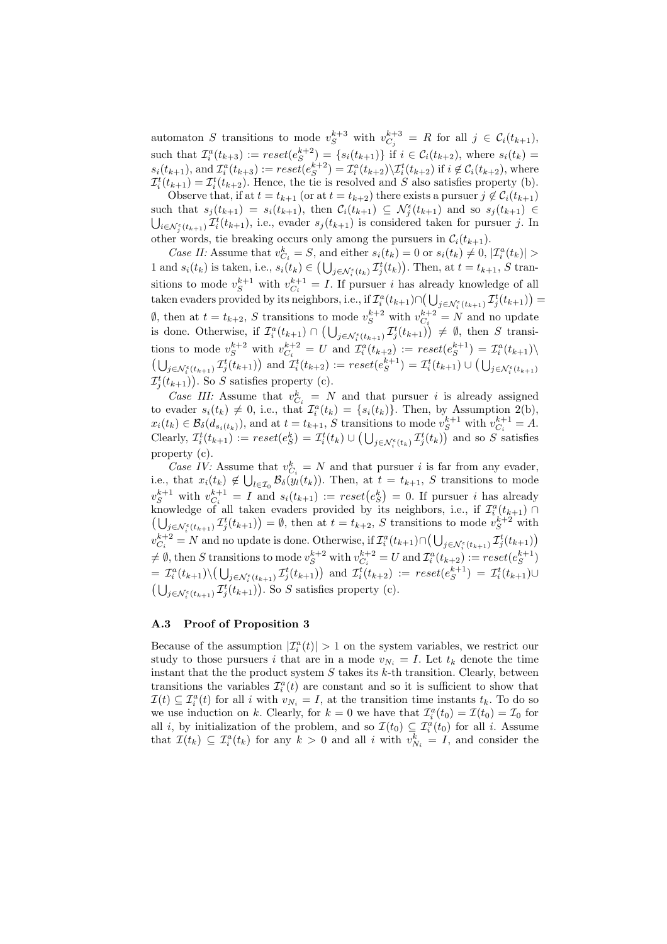automaton S transitions to mode  $v_S^{k+3}$  with  $v_{C_j}^{k+3} = R$  for all  $j \in C_i(t_{k+1}),$ such that  $\mathcal{I}_i^a(t_{k+3}) := reset(e_S^{k+2}) = \{s_i(t_{k+1})\}$  if  $i \in \mathcal{C}_i(t_{k+2})$ , where  $s_i(t_k) =$  $s_i(t_{k+1}),$  and  $\mathcal{I}_i^a(t_{k+3}) := reset(e_S^{k+2}) = \mathcal{I}_i^a(t_{k+2}) \setminus \mathcal{I}_i^t(t_{k+2})$  if  $i \notin \mathcal{C}_i(t_{k+2}),$  where  $\mathcal{I}_i^t(t_{k+1}) = \mathcal{I}_i^t(t_{k+2})$ . Hence, the tie is resolved and S also satisfies property (b).

Observe that, if at  $t = t_{k+1}$  (or at  $t = t_{k+2}$ ) there exists a pursuer  $j \notin C_i(t_{k+1})$ such that  $s_j(t_{k+1}) = s_i(t_{k+1}),$  then  $C_i(t_{k+1}) \subseteq \mathcal{N}_j^{\epsilon}(t_{k+1})$  and so  $s_j(t_{k+1}) \subseteq$  $i \in \mathcal{N}_j^{\epsilon}(t_{k+1})$ , i.e., evader  $s_j(t_{k+1})$  is considered taken for pursuer j. In other words, tie breaking occurs only among the pursuers in  $\mathcal{C}_i(t_{k+1})$ .

Case II: Assume that  $v_{C_i}^k = S$ , and either  $s_i(t_k) = 0$  or  $s_i(t_k) \neq 0$ ,  $|\mathcal{I}_i^a(t_k)| >$ 1 and  $s_i(t_k)$  is taken, i.e.,  $s_i(t_k) \in (\bigcup_{j \in \mathcal{N}_i^{\epsilon}(t_k)} \mathcal{I}_j^{t}(t_k)).$  Then, at  $t = t_{k+1}$ , S transitions to mode  $v_S^{k+1}$  with  $v_{C_i}^{k+1} = I$ . If pursuer *i* has already knowledge of all taken evaders provided by its neighbors, i.e., if  $\mathcal{I}_i^a(t_{k+1}) \cap$ urea<br>≀∟ ⊦  $j \in \mathcal{N}_{i}^{\epsilon}(t_{k+1}) \mathcal{I}_{j}^{t}(t_{k+1}) =$  $\emptyset$ , then at  $t = t_{k+2}$ , S transitions to mode  $v_S^{k+2}$  with  $v_{C_k}^{k+2} = N$  and no update is done. Otherwise, if  $\mathcal{I}_i^a(t_{k+1}) \cap (\bigcup_{j \in \mathcal{N}_i^{\epsilon}(t_{k+1})} \mathcal{I}_j^t(t_{k+1})) \neq \emptyset$ , then S transitions to mode  $v_S^{k+2}$  with  $v_{C_i}^{k+2} = U$  and  $\mathcal{I}_i^a(t_{k+2}) := reset(e_S^{k+1}) = \mathcal{I}_i^a(t_{k+1})\setminus$  $j \in \mathcal{N}_{i}^{\epsilon}(t_{k+1})} \mathcal{I}_{j}^{t}(t_{k+1})$  and  $\mathcal{I}_{i}^{t}(t_{k+2}) := reset(e_{S}^{k+1}) = \mathcal{I}_{i}^{t}(t_{k+1}) \cup (\bigcup_{j \in \mathcal{N}_{i}^{\epsilon}(t_{k+1})})$  $\mathcal{I}_j^t(t_{k+1})$ . So S satisfies property (c).

Case III: Assume that  $v_{C_i}^k = N$  and that pursuer i is already assigned to evader  $s_i(t_k) \neq 0$ , i.e., that  $\mathcal{I}_i^a(t_k) = \{s_i(t_k)\}\.$  Then, by Assumption 2(b),  $x_i(t_k) \in \mathcal{B}_{\delta}(d_{s_i(t_k)})$ , and at  $t = t_{k+1}$ , S transitions to mode  $v_S^{k+1}$  with  $v_{C_i}^{k+1} = A$ . Clearly,  $\mathcal{I}_i^t(t_{k+1}) := reset(e_S^k) = \mathcal{I}_i^t(t_k) \cup (\bigcup_{j \in \mathcal{N}_i^{\epsilon}(t_k)} \mathcal{I}_j^t(t_k))$  and so S satisfies property (c).

Case IV: Assume that  $v_{C_i}^k = N$  and that pursuer *i* is far from any evader, i.e., that  $x_i(t_k) \notin \bigcup_{l \in \mathcal{I}_0} \mathcal{B}_{\delta}(y_l(t_k))$ . Then, at  $t = t_{k+1}$ , S transitions to mode  $v_S^{k+1}$  with  $v_{Ci}^{k+1} = I$  and  $s_i(t_{k+1}) := reset(e_S^k) = 0$ . If pursuer *i* has already knowledge of all taken evaders provided by its neighbors, i.e., if  $\mathcal{I}^a_i(t_{k+1}) \cap$  $j \in \mathcal{N}_i^{\epsilon}(t_{k+1})$ ,  $\mathcal{I}_j^t(t_{k+1}) = \emptyset$ , then at  $t = t_{k+2}$ , S transitions to mode  $v_S^{k+2}$  with  $v_{C_i}^{k+2} = N$  and no update is done. Otherwise, if  $\mathcal{I}_i^a(t_{k+1}) \cap (\bigcup_{j \in \mathcal{N}_i^{\epsilon}(t_{k+1})} \mathcal{I}_j^t(t_{k+1})$  $\neq \emptyset$ , then S transitions to mode  $v_S^{k+2}$  with  $v_{C_i}^{k+2} = U$  and  $\mathcal{I}_i^a(t_{k+2}) := reset(e_S^{k+1})$  $= \mathcal{I}_i^a(t_{k+1})\setminus$ µ تە  $_{j\in\mathcal{N}_{i}^{\epsilon}(t_{k+1})}\mathcal{I}_{j}^{t}(t_{k+1})$ ¢  $=\mathcal{I}_i^a(t_{k+1})\setminus(\bigcup_{j\in\mathcal{N}_i^{\varepsilon}(t_{k+1})}\mathcal{I}_j^t(t_{k+1}))$  and  $\mathcal{I}_i^t(t_{k+2}) := reset(e_S^{k+1}) = \mathcal{I}_i^t(t_{k+1})\cup$  $j \in \mathcal{N}_{i}^{\epsilon}(t_{k+1})$   $\mathcal{I}_{j}^{t}(t_{k+1})$ . So S satisfies property (c).

## A.3 Proof of Proposition 3

Because of the assumption  $|\mathcal{I}_i^a(t)| > 1$  on the system variables, we restrict our study to those pursuers i that are in a mode  $v_{N_i} = I$ . Let  $t_k$  denote the time instant that the the product system  $S$  takes its  $k$ -th transition. Clearly, between transitions the variables  $\mathcal{I}_i^a(t)$  are constant and so it is sufficient to show that  $\mathcal{I}(t) \subseteq \mathcal{I}_i^a(t)$  for all i with  $v_{N_i} = I$ , at the transition time instants  $t_k$ . To do so we use induction on k. Clearly, for  $k = 0$  we have that  $\mathcal{I}_i^a(t_0) = \mathcal{I}(t_0) = \mathcal{I}_0$  for all *i*, by initialization of the problem, and so  $\mathcal{I}(t_0) \subseteq \mathcal{I}_i^a(t_0)$  for all *i*. Assume that  $\mathcal{I}(t_k) \subseteq \mathcal{I}_i^a(t_k)$  for any  $k > 0$  and all i with  $v_{N_i}^k = I$ , and consider the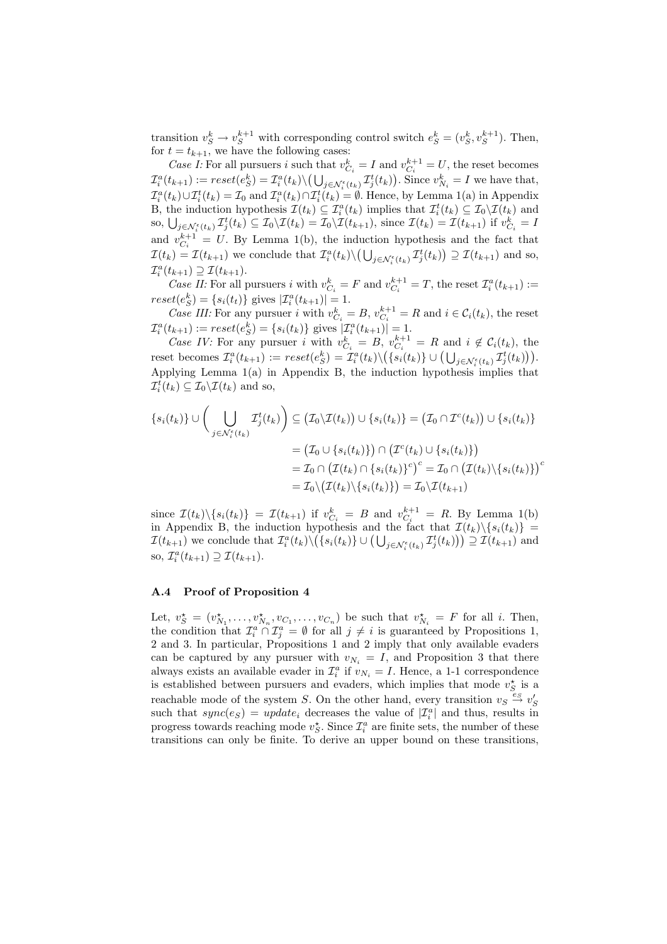transition  $v_S^k \to v_S^{k+1}$  with corresponding control switch  $e_S^k = (v_S^k, v_S^{k+1})$ . Then, for  $t = t_{k+1}$ , we have the following cases:

Case I: For all pursuers i such that  $v_{C_i}^k = I$  and  $v_{C_i}^{k+1} = U$ , the reset becomes  $\mathcal{I}_i^a(t_{k+1}) := reset(e_S^k) = \mathcal{I}_i^a(t_k) \setminus (\bigcup_{j \in \mathcal{N}_i^{\epsilon}(t_k)} \mathcal{I}_j^t(t_k)).$  Since  $v_{N_i}^k = I$  we have that,  $\mathcal{I}_i^a(t_k)\cup \mathcal{I}_i^t(t_k)=\mathcal{I}_0$  and  $\mathcal{I}_i^a(t_k)\cap \mathcal{I}_i^t(t_k)=\emptyset$ . Hence, by Lemma 1(a) in Appendix B, the induction hypothesis  $\mathcal{I}(t_k) \subseteq \mathcal{I}_i^a(t_k)$  implies that  $\mathcal{I}_i^t(t_k) \subseteq \mathcal{I}_0 \backslash \mathcal{I}(t_k)$  and B, the mauction hypothesis  $L(t_k) \subseteq L_i^T(t_k)$  implies that  $L_i^T(t_k) \subseteq L_0 \setminus L(t_k)$  and so,  $\bigcup_{j \in \mathcal{N}_i^{\epsilon}(t_k)} \mathcal{I}_j^t(t_k) \subseteq \mathcal{I}_0 \setminus \mathcal{I}(t_k) = \mathcal{I}_0 \setminus \mathcal{I}(t_{k+1})$ , since  $\mathcal{I}(t_k) = \mathcal{I}(t_{k+1})$  if  $v_{C_i}^k = I$ and  $v_{C_i}^{k+1} = U$ . By Lemma 1(b), the induction hypothesis and the fact that  $\mathcal{I}(t_k) = \mathcal{I}(t_{k+1})$  we conclude that  $\mathcal{I}_i^a(t_k) \setminus (\bigcup_{j \in \mathcal{N}_i^c(t_k)} \mathcal{I}_j^t(t_k)) \supseteq \mathcal{I}(t_{k+1})$  and so,  $\mathcal{I}_i^a(t_{k+1}) \supseteq \mathcal{I}(t_{k+1}).$ 

Case II: For all pursuers i with  $v_{C_i}^k = F$  and  $v_{C_i}^{k+1} = T$ , the reset  $\mathcal{I}_i^a(t_{k+1}) :=$  $reset(e_S^k) = \{s_i(t_t)\}\text{ gives } |\mathcal{I}_i^a(t_{k+1})| = 1.$ 

Case III: For any pursuer i with  $v_{C_i}^k = B$ ,  $v_{C_i}^{k+1} = R$  and  $i \in C_i(t_k)$ , the reset  $\mathcal{I}_i^a(t_{k+1}) := reset(e_S^k) = \{s_i(t_k)\}\text{ gives }|\mathcal{I}_i^a(t_{k+1})| = 1.$ 

Case IV: For any pursuer i with  $v_{C_i}^k = B$ ,  $v_{C_i}^{k+1} = R$  and  $i \notin C_i(t_k)$ , the reset becomes  $\mathcal{I}_i^a(t_{k+1}) := reset(e_S^k) = \mathcal{I}_i^a(t_k) \setminus$  $\big(C_i - n \text{ and } i \notin C_i(t_k), \text{ the }$ <br> $\big(\{s_i(t_k)\}\cup \big(\bigcup_{j\in\mathcal{N}_i^{\epsilon}(t_k)} \mathcal{I}_j^{t}(t_k)\big)\big).$ Applying Lemma 1(a) in Appendix B, the induction hypothesis implies that  $\mathcal{I}_i^t(t_k) \subseteq \mathcal{I}_0 \backslash \mathcal{I}(t_k)$  and so,

$$
\{s_i(t_k)\} \cup \left(\bigcup_{j \in \mathcal{N}_i^{\epsilon}(t_k)} \mathcal{I}_j^t(t_k)\right) \subseteq \left(\mathcal{I}_0 \setminus \mathcal{I}(t_k)\right) \cup \{s_i(t_k)\} = \left(\mathcal{I}_0 \cap \mathcal{I}^c(t_k)\right) \cup \{s_i(t_k)\}
$$

$$
= \left(\mathcal{I}_0 \cup \{s_i(t_k)\}\right) \cap \left(\mathcal{I}^c(t_k) \cup \{s_i(t_k)\}\right)
$$

$$
= \mathcal{I}_0 \cap \left(\mathcal{I}(t_k) \cap \{s_i(t_k)\}^c\right)^c = \mathcal{I}_0 \cap \left(\mathcal{I}(t_k) \setminus \{s_i(t_k)\}\right)^c
$$

$$
= \mathcal{I}_0 \setminus \left(\mathcal{I}(t_k) \setminus \{s_i(t_k)\}\right) = \mathcal{I}_0 \setminus \mathcal{I}(t_{k+1})
$$

since  $\mathcal{I}(t_k)\backslash\{s_i(t_k)\} = \mathcal{I}(t_{k+1})$  if  $v_{C_i}^k = B$  and  $v_{C_i}^{k+1} = R$ . By Lemma 1(b) in Appendix B, the induction hypothesis and the fact that  $\mathcal{I}(t_k)\backslash\{s_i(t_k)\}$  = In Appendix B, the induction hypothesis and the fact that  $L(t_k)\setminus \{s_i(t_k)\}\equiv$ <br> $\mathcal{I}(t_{k+1})$  we conclude that  $\mathcal{I}_i^a(t_k)\setminus (\{s_i(t_k)\}\cup (\bigcup_{j\in\mathcal{N}_i^c(t_k)}\mathcal{I}_j^t(t_k)))\supseteq \mathcal{I}(t_{k+1})$  and so,  $\mathcal{I}_i^a(t_{k+1}) \supseteq \mathcal{I}(t_{k+1}).$ 

#### A.4 Proof of Proposition 4

Let,  $v_S^* = (v_{N_1}^*, \ldots, v_{N_n}^*, v_{C_1}, \ldots, v_{C_n})$  be such that  $v_{N_i}^* = F$  for all i. Then, the condition that  $\mathcal{I}_i^a \cap \mathcal{I}_j^a = \emptyset$  for all  $j \neq i$  is guaranteed by Propositions 1, 2 and 3. In particular, Propositions 1 and 2 imply that only available evaders can be captured by any pursuer with  $v_{N_i} = I$ , and Proposition 3 that there always exists an available evader in  $\mathcal{I}_i^a$  if  $v_{N_i} = I$ . Hence, a 1-1 correspondence is established between pursuers and evaders, which implies that mode  $v_S^{\star}$  is a reachable mode of the system S. On the other hand, every transition  $v_S \stackrel{e_S}{\rightarrow} v'_S$ such that  $sync(e<sub>S</sub>) = update<sub>i</sub>$  decreases the value of  $|\mathcal{I}_i^a|$  and thus, results in progress towards reaching mode  $v_S^*$ . Since  $\mathcal{I}_i^a$  are finite sets, the number of these transitions can only be finite. To derive an upper bound on these transitions,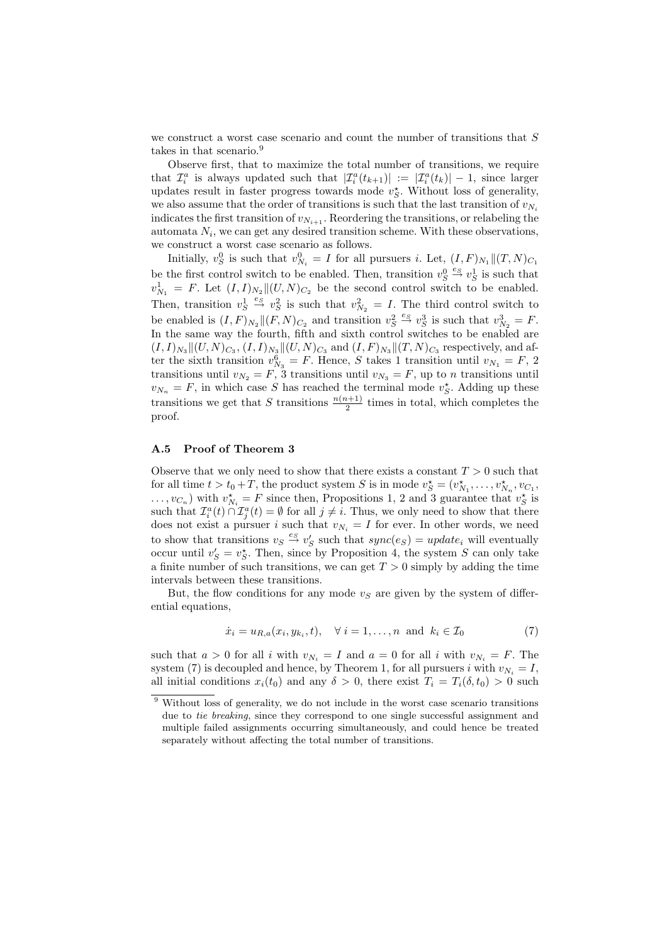we construct a worst case scenario and count the number of transitions that S takes in that scenario.<sup>9</sup>

Observe first, that to maximize the total number of transitions, we require that  $\mathcal{I}_i^a$  is always updated such that  $|\mathcal{I}_i^a(t_{k+1})| := |\mathcal{I}_i^a(t_k)| - 1$ , since larger updates result in faster progress towards mode  $v_S^*$ . Without loss of generality, we also assume that the order of transitions is such that the last transition of  $v_{N_i}$ indicates the first transition of  $v_{N_{i+1}}$ . Reordering the transitions, or relabeling the automata  $N_i$ , we can get any desired transition scheme. With these observations, we construct a worst case scenario as follows.

Initially,  $v_S^0$  is such that  $v_{N_i}^0 = I$  for all pursuers *i*. Let,  $(I, F)_{N_1} || (T, N)_{C_1}$ be the first control switch to be enabled. Then, transition  $v_S^0 \stackrel{es}{\rightarrow} v_S^1$  is such that  $v_{N_1}^1 = F$ . Let  $(I, I)_{N_2} \parallel (U, N)_{C_2}$  be the second control switch to be enabled. Then, transition  $v_S^1 \stackrel{e_S}{\rightarrow} v_S^2$  is such that  $v_{N_2}^2 = I$ . The third control switch to be enabled is  $(I, F)_{N_2} || (F, N)_{C_2}$  and transition  $v_S^2 \stackrel{e_S}{\rightarrow} v_S^3$  is such that  $v_{N_2}^3 = F$ . In the same way the fourth, fifth and sixth control switches to be enabled are  $(I, I)_{N_3} \|(U, N)_{C_3}, (I, I)_{N_3} \|(U, N)_{C_3}$  and  $(I, F)_{N_3} \|(T, N)_{C_3}$  respectively, and after the sixth transition  $v_{N_3}^6 = F$ . Hence, S takes 1 transition until  $v_{N_1} = F$ , 2 transitions until  $v_{N_2} = F$ , 3 transitions until  $v_{N_3} = F$ , up to n transitions until  $v_{N_n} = F$ , in which case S has reached the terminal mode  $v_S^*$ . Adding up these transitions we get that S transitions  $\frac{n(n+1)}{2}$  times in total, which completes the proof.

#### A.5 Proof of Theorem 3

Observe that we only need to show that there exists a constant  $T > 0$  such that for all time  $t > t_0 + T$ , the product system S is in mode  $v_S^* = (v_{N_1}^*, \ldots, v_{N_n}^*, v_{C_1},$  $\dots, v_{C_n}$ ) with  $v_{N_i}^* = F$  since then, Propositions 1, 2 and 3 guarantee that  $v_S^*$  is such that  $\mathcal{I}_i^a(t) \cap \mathcal{I}_j^a(t) = \emptyset$  for all  $j \neq i$ . Thus, we only need to show that there does not exist a pursuer i such that  $v_{N_i} = I$  for ever. In other words, we need to show that transitions  $v_S \stackrel{es}{\rightarrow} v'_S$  such that  $sync(e_S) = update_i$  will eventually occur until  $v'_S = v_S^*$ . Then, since by Proposition 4, the system S can only take a finite number of such transitions, we can get  $T > 0$  simply by adding the time intervals between these transitions.

But, the flow conditions for any mode  $v<sub>S</sub>$  are given by the system of differential equations,

$$
\dot{x}_i = u_{R,a}(x_i, y_{k_i}, t), \quad \forall \ i = 1, \dots, n \ \text{and} \ k_i \in \mathcal{I}_0 \tag{7}
$$

such that  $a > 0$  for all i with  $v_{N_i} = I$  and  $a = 0$  for all i with  $v_{N_i} = F$ . The system (7) is decoupled and hence, by Theorem 1, for all pursuers i with  $v_{N_i} = I$ , all initial conditions  $x_i(t_0)$  and any  $\delta > 0$ , there exist  $T_i = T_i(\delta, t_0) > 0$  such

<sup>&</sup>lt;sup>9</sup> Without loss of generality, we do not include in the worst case scenario transitions due to tie breaking, since they correspond to one single successful assignment and multiple failed assignments occurring simultaneously, and could hence be treated separately without affecting the total number of transitions.